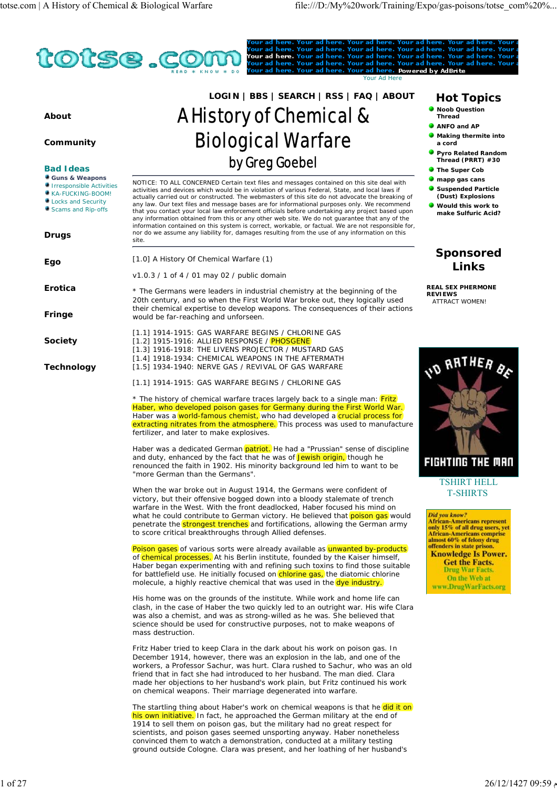

Haber was a dedicated German patriot. He had a "Prussian" sense of discipline and duty, enhanced by the fact that he was of Jewish origin, though he renounced the faith in 1902. His minority background led him to want to be "more German than the Germans".

When the war broke out in August 1914, the Germans were confident of victory, but their offensive bogged down into a bloody stalemate of trench warfare in the West. With the front deadlocked, Haber focused his mind on what he could contribute to German victory. He believed that poison gas would penetrate the strongest trenches and fortifications, allowing the German army to score critical breakthroughs through Allied defenses.

Poison gases of various sorts were already available as unwanted by-products of chemical processes. At his Berlin institute, founded by the Kaiser himself, Haber began experimenting with and refining such toxins to find those suitable for battlefield use. He initially focused on  $\left| \text{chlorine gas}_{i} \right|$  the diatomic chlorine molecule, a highly reactive chemical that was used in the dye industry.

His home was on the grounds of the institute. While work and home life can clash, in the case of Haber the two quickly led to an outright war. His wife Clara was also a chemist, and was as strong-willed as he was. She believed that science should be used for constructive purposes, not to make weapons of mass destruction.

Fritz Haber tried to keep Clara in the dark about his work on poison gas. In December 1914, however, there was an explosion in the lab, and one of the workers, a Professor Sachur, was hurt. Clara rushed to Sachur, who was an old friend that in fact she had introduced to her husband. The man died. Clara made her objections to her husband's work plain, but Fritz continued his work on chemical weapons. Their marriage degenerated into warfare.

The startling thing about Haber's work on chemical weapons is that he did it on his own initiative. In fact, he approached the German military at the end of 1914 to sell them on poison gas, but the military had no great respect for scientists, and poison gases seemed unsporting anyway. Haber nonetheless convinced them to watch a demonstration, conducted at a military testing ground outside Cologne. Clara was present, and her loathing of her husband's

- **Making thermite into**
- 
- 



TSHIRT HELL T-SHIRTS

*Did you know?*<br>African-Americans represent<br>only 15% of all drug users, yet<br>African-Americans comprise<br>almost 60% of felony drug offenders in state prison. **Knowledge Is Power. Get the Facts. Drug War Facts.** On the Web at www.DrugWarFacts.org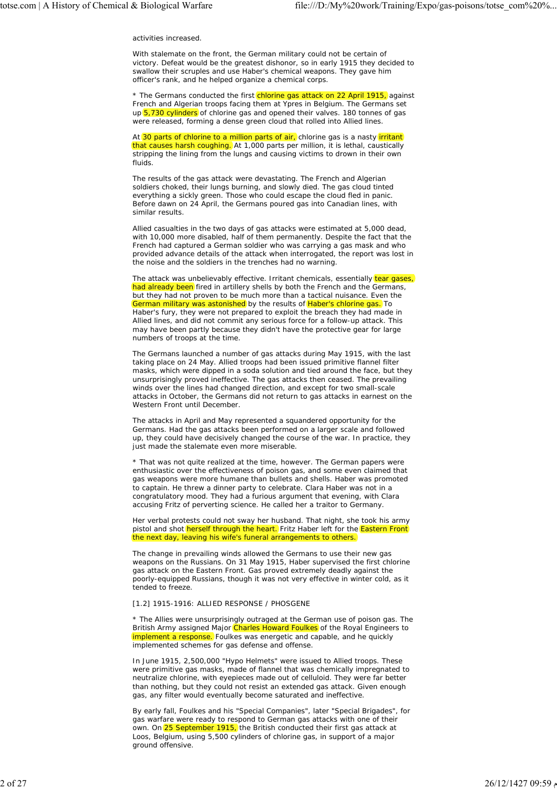## activities increased.

With stalemate on the front, the German military could not be certain of victory. Defeat would be the greatest dishonor, so in early 1915 they decided to swallow their scruples and use Haber's chemical weapons. They gave him officer's rank, and he helped organize a chemical corps.

\* The Germans conducted the first chlorine gas attack on 22 April 1915, against French and Algerian troops facing them at Ypres in Belgium. The Germans set  $up(5,730$  cylinders of chlorine gas and opened their valves. 180 tonnes of gas were released, forming a dense green cloud that rolled into Allied lines.

At  $30$  parts of chlorine to a million parts of air, chlorine gas is a nasty (irritant) that causes harsh coughing. At 1,000 parts per million, it is lethal, caustically stripping the lining from the lungs and causing victims to drown in their own fluids.

The results of the gas attack were devastating. The French and Algerian soldiers choked, their lungs burning, and slowly died. The gas cloud tinted everything a sickly green. Those who could escape the cloud fled in panic. Before dawn on 24 April, the Germans poured gas into Canadian lines, with similar results.

Allied casualties in the two days of gas attacks were estimated at 5,000 dead, with 10,000 more disabled, half of them permanently. Despite the fact that the French had captured a German soldier who was carrying a gas mask and who provided advance details of the attack when interrogated, the report was lost in the noise and the soldiers in the trenches had no warning.

The attack was unbelievably effective. Irritant chemicals, essentially  $\left(\frac{1}{2}$  gases, had already been fired in artillery shells by both the French and the Germans, but they had not proven to be much more than a tactical nuisance. Even the German military was astonished by the results of Haber's chlorine gas. To Haber's fury, they were not prepared to exploit the breach they had made in Allied lines, and did not commit any serious force for a follow-up attack. This may have been partly because they didn't have the protective gear for large numbers of troops at the time.

The Germans launched a number of gas attacks during May 1915, with the last taking place on 24 May. Allied troops had been issued primitive flannel filter masks, which were dipped in a soda solution and tied around the face, but they unsurprisingly proved ineffective. The gas attacks then ceased. The prevailing winds over the lines had changed direction, and except for two small-scale attacks in October, the Germans did not return to gas attacks in earnest on the Western Front until December.

The attacks in April and May represented a squandered opportunity for the Germans. Had the gas attacks been performed on a larger scale and followed up, they could have decisively changed the course of the war. In practice, they just made the stalemate even more miserable.

\* That was not quite realized at the time, however. The German papers were enthusiastic over the effectiveness of poison gas, and some even claimed that gas weapons were more humane than bullets and shells. Haber was promoted to captain. He threw a dinner party to celebrate. Clara Haber was not in a congratulatory mood. They had a furious argument that evening, with Clara accusing Fritz of perverting science. He called her a traitor to Germany.

Her verbal protests could not sway her husband. That night, she took his army pistol and shot herself through the heart. Fritz Haber left for the Eastern Front the next day, leaving his wife's funeral arrangements to others.

The change in prevailing winds allowed the Germans to use their new gas weapons on the Russians. On 31 May 1915, Haber supervised the first chlorine gas attack on the Eastern Front. Gas proved extremely deadly against the poorly-equipped Russians, though it was not very effective in winter cold, as it tended to freeze.

## [1.2] 1915-1916: ALLIED RESPONSE / PHOSGENE

\* The Allies were unsurprisingly outraged at the German use of poison gas. The British Army assigned Major Charles Howard Foulkes of the Royal Engineers to implement a response. Foulkes was energetic and capable, and he quickly implemented schemes for gas defense and offense.

In June 1915, 2,500,000 "Hypo Helmets" were issued to Allied troops. These were primitive gas masks, made of flannel that was chemically impregnated to neutralize chlorine, with eyepieces made out of celluloid. They were far better than nothing, but they could not resist an extended gas attack. Given enough gas, any filter would eventually become saturated and ineffective.

By early fall, Foulkes and his "Special Companies", later "Special Brigades", for gas warfare were ready to respond to German gas attacks with one of their own. On  $25$  September 1915, the British conducted their first gas attack at Loos, Belgium, using 5,500 cylinders of chlorine gas, in support of a major ground offensive.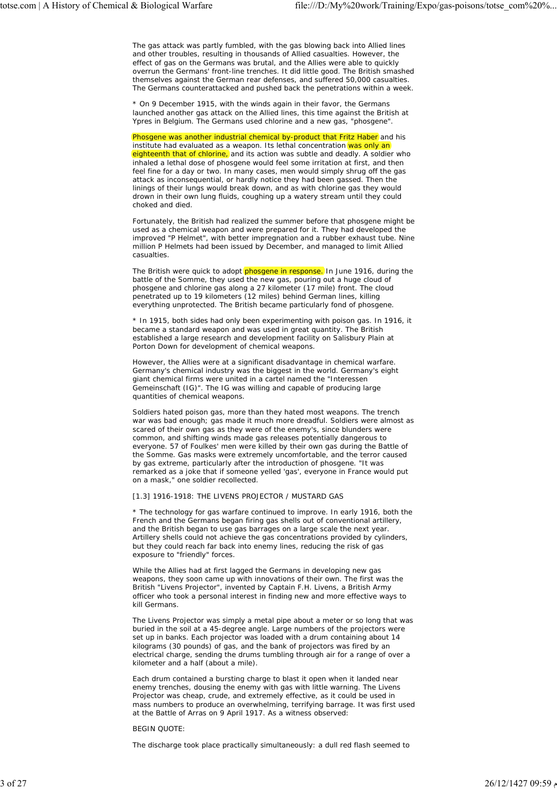The gas attack was partly fumbled, with the gas blowing back into Allied lines and other troubles, resulting in thousands of Allied casualties. However, the effect of gas on the Germans was brutal, and the Allies were able to quickly overrun the Germans' front-line trenches. It did little good. The British smashed themselves against the German rear defenses, and suffered 50,000 casualties. The Germans counterattacked and pushed back the penetrations within a week.

\* On 9 December 1915, with the winds again in their favor, the Germans launched another gas attack on the Allied lines, this time against the British at Ypres in Belgium. The Germans used chlorine and a new gas, "phosgene".

Phosgene was another industrial chemical by-product that Fritz Haber and his institute had evaluated as a weapon. Its lethal concentration was only an eighteenth that of chlorine, and its action was subtle and deadly. A soldier who inhaled a lethal dose of phosgene would feel some irritation at first, and then feel fine for a day or two. In many cases, men would simply shrug off the gas attack as inconsequential, or hardly notice they had been gassed. Then the linings of their lungs would break down, and as with chlorine gas they would drown in their own lung fluids, coughing up a watery stream until they could choked and died.

Fortunately, the British had realized the summer before that phosgene might be used as a chemical weapon and were prepared for it. They had developed the improved "P Helmet", with better impregnation and a rubber exhaust tube. Nine million P Helmets had been issued by December, and managed to limit Allied casualties.

The British were quick to adopt phosgene in response. In June 1916, during the battle of the Somme, they used the new gas, pouring out a huge cloud of phosgene and chlorine gas along a 27 kilometer (17 mile) front. The cloud penetrated up to 19 kilometers (12 miles) behind German lines, killing everything unprotected. The British became particularly fond of phosgene.

\* In 1915, both sides had only been experimenting with poison gas. In 1916, it became a standard weapon and was used in great quantity. The British established a large research and development facility on Salisbury Plain at Porton Down for development of chemical weapons.

However, the Allies were at a significant disadvantage in chemical warfare. Germany's chemical industry was the biggest in the world. Germany's eight giant chemical firms were united in a cartel named the "Interessen Gemeinschaft (IG)". The IG was willing and capable of producing large quantities of chemical weapons.

Soldiers hated poison gas, more than they hated most weapons. The trench war was bad enough; gas made it much more dreadful. Soldiers were almost as scared of their own gas as they were of the enemy's, since blunders were common, and shifting winds made gas releases potentially dangerous to everyone. 57 of Foulkes' men were killed by their own gas during the Battle of the Somme. Gas masks were extremely uncomfortable, and the terror caused by gas extreme, particularly after the introduction of phosgene. "It was remarked as a joke that if someone yelled 'gas', everyone in France would put on a mask," one soldier recollected.

## [1.3] 1916-1918: THE LIVENS PROJECTOR / MUSTARD GAS

\* The technology for gas warfare continued to improve. In early 1916, both the French and the Germans began firing gas shells out of conventional artillery, and the British began to use gas barrages on a large scale the next year. Artillery shells could not achieve the gas concentrations provided by cylinders, but they could reach far back into enemy lines, reducing the risk of gas exposure to "friendly" forces.

While the Allies had at first lagged the Germans in developing new gas weapons, they soon came up with innovations of their own. The first was the British "Livens Projector", invented by Captain F.H. Livens, a British Army officer who took a personal interest in finding new and more effective ways to kill Germans.

The Livens Projector was simply a metal pipe about a meter or so long that was buried in the soil at a 45-degree angle. Large numbers of the projectors were set up in banks. Each projector was loaded with a drum containing about 14 kilograms (30 pounds) of gas, and the bank of projectors was fired by an electrical charge, sending the drums tumbling through air for a range of over a kilometer and a half (about a mile).

Each drum contained a bursting charge to blast it open when it landed near enemy trenches, dousing the enemy with gas with little warning. The Livens Projector was cheap, crude, and extremely effective, as it could be used in mass numbers to produce an overwhelming, terrifying barrage. It was first used at the Battle of Arras on 9 April 1917. As a witness observed:

#### BEGIN QUOTE:

The discharge took place practically simultaneously: a dull red flash seemed to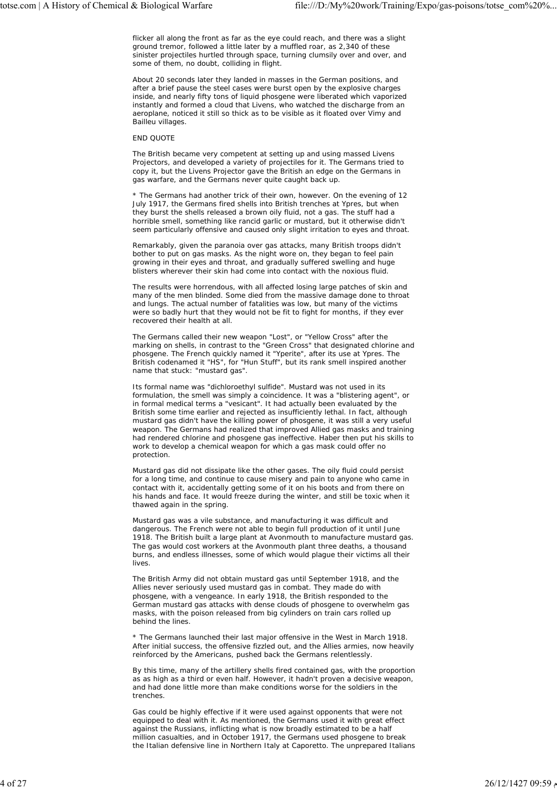flicker all along the front as far as the eye could reach, and there was a slight ground tremor, followed a little later by a muffled roar, as 2,340 of these sinister projectiles hurtled through space, turning clumsily over and over, and some of them, no doubt, colliding in flight.

About 20 seconds later they landed in masses in the German positions, and after a brief pause the steel cases were burst open by the explosive charges inside, and nearly fifty tons of liquid phosgene were liberated which vaporized instantly and formed a cloud that Livens, who watched the discharge from an aeroplane, noticed it still so thick as to be visible as it floated over Vimy and Bailleu villages.

## END QUOTE

The British became very competent at setting up and using massed Livens Projectors, and developed a variety of projectiles for it. The Germans tried to copy it, but the Livens Projector gave the British an edge on the Germans in gas warfare, and the Germans never quite caught back up.

\* The Germans had another trick of their own, however. On the evening of 12 July 1917, the Germans fired shells into British trenches at Ypres, but when they burst the shells released a brown oily fluid, not a gas. The stuff had a horrible smell, something like rancid garlic or mustard, but it otherwise didn't seem particularly offensive and caused only slight irritation to eyes and throat.

Remarkably, given the paranoia over gas attacks, many British troops didn't bother to put on gas masks. As the night wore on, they began to feel pain growing in their eyes and throat, and gradually suffered swelling and huge blisters wherever their skin had come into contact with the noxious fluid.

The results were horrendous, with all affected losing large patches of skin and many of the men blinded. Some died from the massive damage done to throat and lungs. The actual number of fatalities was low, but many of the victims were so badly hurt that they would not be fit to fight for months, if they ever recovered their health at all.

The Germans called their new weapon "Lost", or "Yellow Cross" after the marking on shells, in contrast to the "Green Cross" that designated chlorine and phosgene. The French quickly named it "Yperite", after its use at Ypres. The British codenamed it "HS", for "Hun Stuff", but its rank smell inspired another name that stuck: "mustard gas".

Its formal name was "dichloroethyl sulfide". Mustard was not used in its formulation, the smell was simply a coincidence. It was a "blistering agent", or in formal medical terms a "vesicant". It had actually been evaluated by the British some time earlier and rejected as insufficiently lethal. In fact, although mustard gas didn't have the killing power of phosgene, it was still a very useful weapon. The Germans had realized that improved Allied gas masks and training had rendered chlorine and phosgene gas ineffective. Haber then put his skills to work to develop a chemical weapon for which a gas mask could offer no protection.

Mustard gas did not dissipate like the other gases. The oily fluid could persist for a long time, and continue to cause misery and pain to anyone who came in contact with it, accidentally getting some of it on his boots and from there on his hands and face. It would freeze during the winter, and still be toxic when it thawed again in the spring.

Mustard gas was a vile substance, and manufacturing it was difficult and dangerous. The French were not able to begin full production of it until June 1918. The British built a large plant at Avonmouth to manufacture mustard gas. The gas would cost workers at the Avonmouth plant three deaths, a thousand burns, and endless illnesses, some of which would plague their victims all their lives.

The British Army did not obtain mustard gas until September 1918, and the Allies never seriously used mustard gas in combat. They made do with phosgene, with a vengeance. In early 1918, the British responded to the German mustard gas attacks with dense clouds of phosgene to overwhelm gas masks, with the poison released from big cylinders on train cars rolled up behind the lines.

\* The Germans launched their last major offensive in the West in March 1918. After initial success, the offensive fizzled out, and the Allies armies, now heavily reinforced by the Americans, pushed back the Germans relentlessly.

By this time, many of the artillery shells fired contained gas, with the proportion as as high as a third or even half. However, it hadn't proven a decisive weapon, and had done little more than make conditions worse for the soldiers in the trenches.

Gas could be highly effective if it were used against opponents that were not equipped to deal with it. As mentioned, the Germans used it with great effect against the Russians, inflicting what is now broadly estimated to be a half million casualties, and in October 1917, the Germans used phosgene to break the Italian defensive line in Northern Italy at Caporetto. The unprepared Italians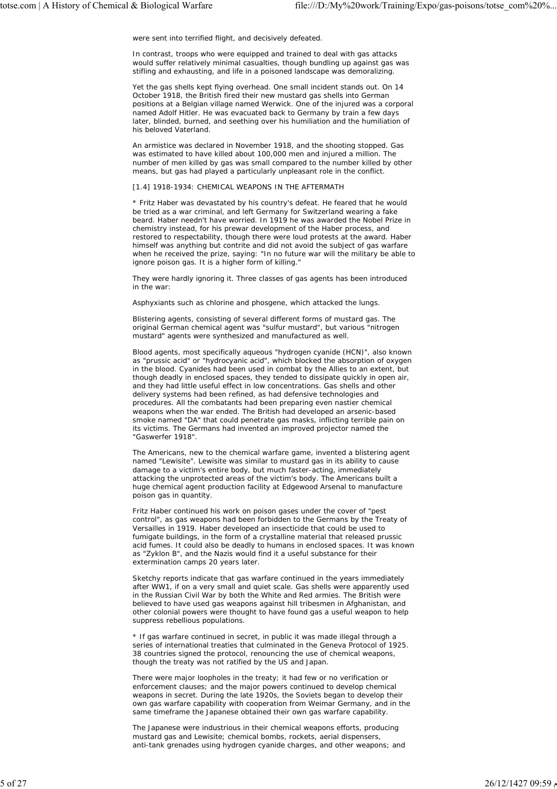were sent into terrified flight, and decisively defeated.

In contrast, troops who were equipped and trained to deal with gas attacks would suffer relatively minimal casualties, though bundling up against gas was stifling and exhausting, and life in a poisoned landscape was demoralizing.

Yet the gas shells kept flying overhead. One small incident stands out. On 14 October 1918, the British fired their new mustard gas shells into German positions at a Belgian village named Werwick. One of the injured was a corporal named Adolf Hitler. He was evacuated back to Germany by train a few days later, blinded, burned, and seething over his humiliation and the humiliation of his beloved Vaterland.

An armistice was declared in November 1918, and the shooting stopped. Gas was estimated to have killed about 100,000 men and injured a million. The number of men killed by gas was small compared to the number killed by other means, but gas had played a particularly unpleasant role in the conflict.

#### [1.4] 1918-1934: CHEMICAL WEAPONS IN THE AFTERMATH

\* Fritz Haber was devastated by his country's defeat. He feared that he would be tried as a war criminal, and left Germany for Switzerland wearing a fake beard. Haber needn't have worried. In 1919 he was awarded the Nobel Prize in chemistry instead, for his prewar development of the Haber process, and restored to respectability, though there were loud protests at the award. Haber himself was anything but contrite and did not avoid the subject of gas warfare when he received the prize, saying: "In no future war will the military be able to ignore poison gas. It is a higher form of killing.

They were hardly ignoring it. Three classes of gas agents has been introduced in the war:

Asphyxiants such as chlorine and phosgene, which attacked the lungs.

Blistering agents, consisting of several different forms of mustard gas. The original German chemical agent was "sulfur mustard", but various "nitrogen mustard" agents were synthesized and manufactured as well.

Blood agents, most specifically aqueous "hydrogen cyanide (HCN)", also known as "prussic acid" or "hydrocyanic acid", which blocked the absorption of oxygen in the blood. Cyanides had been used in combat by the Allies to an extent, but though deadly in enclosed spaces, they tended to dissipate quickly in open air, and they had little useful effect in low concentrations. Gas shells and other delivery systems had been refined, as had defensive technologies and procedures. All the combatants had been preparing even nastier chemical weapons when the war ended. The British had developed an arsenic-based smoke named "DA" that could penetrate gas masks, inflicting terrible pain on its victims. The Germans had invented an improved projector named the "Gaswerfer 1918".

The Americans, new to the chemical warfare game, invented a blistering agent named "Lewisite". Lewisite was similar to mustard gas in its ability to cause damage to a victim's entire body, but much faster-acting, immediately attacking the unprotected areas of the victim's body. The Americans built a huge chemical agent production facility at Edgewood Arsenal to manufacture poison gas in quantity.

Fritz Haber continued his work on poison gases under the cover of "pest control", as gas weapons had been forbidden to the Germans by the Treaty of Versailles in 1919. Haber developed an insecticide that could be used to fumigate buildings, in the form of a crystalline material that released prussic acid fumes. It could also be deadly to humans in enclosed spaces. It was known as "Zyklon B", and the Nazis would find it a useful substance for their extermination camps 20 years later.

Sketchy reports indicate that gas warfare continued in the years immediately after WW1, if on a very small and quiet scale. Gas shells were apparently used in the Russian Civil War by both the White and Red armies. The British were believed to have used gas weapons against hill tribesmen in Afghanistan, and other colonial powers were thought to have found gas a useful weapon to help suppress rebellious populations.

\* If gas warfare continued in secret, in public it was made illegal through a series of international treaties that culminated in the Geneva Protocol of 1925. 38 countries signed the protocol, renouncing the use of chemical weapons, though the treaty was not ratified by the US and Japan.

There were major loopholes in the treaty; it had few or no verification or enforcement clauses; and the major powers continued to develop chemical weapons in secret. During the late 1920s, the Soviets began to develop their own gas warfare capability with cooperation from Weimar Germany, and in the same timeframe the Japanese obtained their own gas warfare capability.

The Japanese were industrious in their chemical weapons efforts, producing mustard gas and Lewisite; chemical bombs, rockets, aerial dispensers, anti-tank grenades using hydrogen cyanide charges, and other weapons; and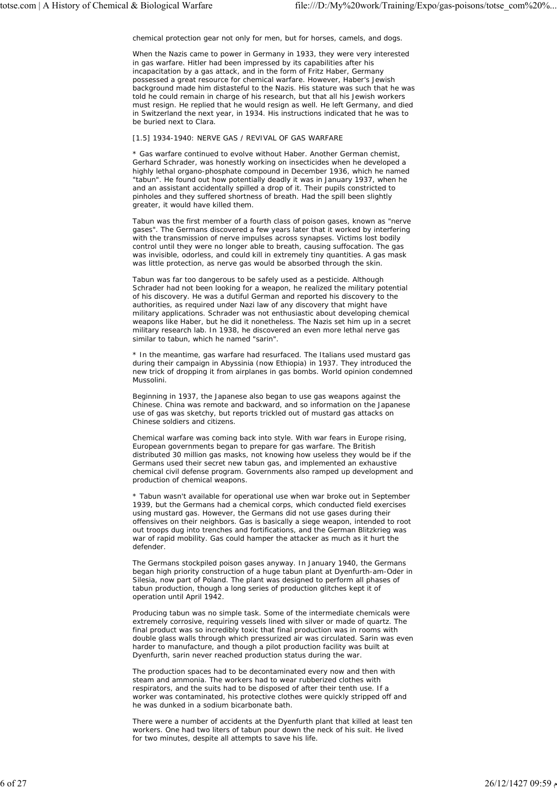chemical protection gear not only for men, but for horses, camels, and dogs.

When the Nazis came to power in Germany in 1933, they were very interested in gas warfare. Hitler had been impressed by its capabilities after his incapacitation by a gas attack, and in the form of Fritz Haber, Germany possessed a great resource for chemical warfare. However, Haber's Jewish background made him distasteful to the Nazis. His stature was such that he was told he could remain in charge of his research, but that all his Jewish workers must resign. He replied that he would resign as well. He left Germany, and died in Switzerland the next year, in 1934. His instructions indicated that he was to be buried next to Clara.

# [1.5] 1934-1940: NERVE GAS / REVIVAL OF GAS WARFARE

\* Gas warfare continued to evolve without Haber. Another German chemist, Gerhard Schrader, was honestly working on insecticides when he developed a highly lethal organo-phosphate compound in December 1936, which he named "tabun". He found out how potentially deadly it was in January 1937, when he and an assistant accidentally spilled a drop of it. Their pupils constricted to pinholes and they suffered shortness of breath. Had the spill been slightly greater, it would have killed them.

Tabun was the first member of a fourth class of poison gases, known as "nerve gases". The Germans discovered a few years later that it worked by interfering with the transmission of nerve impulses across synapses. Victims lost bodily control until they were no longer able to breath, causing suffocation. The gas was invisible, odorless, and could kill in extremely tiny quantities. A gas mask was little protection, as nerve gas would be absorbed through the skin.

Tabun was far too dangerous to be safely used as a pesticide. Although Schrader had not been looking for a weapon, he realized the military potential of his discovery. He was a dutiful German and reported his discovery to the authorities, as required under Nazi law of any discovery that might have military applications. Schrader was not enthusiastic about developing chemical weapons like Haber, but he did it nonetheless. The Nazis set him up in a secret military research lab. In 1938, he discovered an even more lethal nerve gas similar to tabun, which he named "sarin".

\* In the meantime, gas warfare had resurfaced. The Italians used mustard gas during their campaign in Abyssinia (now Ethiopia) in 1937. They introduced the new trick of dropping it from airplanes in gas bombs. World opinion condemned Mussolini.

Beginning in 1937, the Japanese also began to use gas weapons against the Chinese. China was remote and backward, and so information on the Japanese use of gas was sketchy, but reports trickled out of mustard gas attacks on Chinese soldiers and citizens.

Chemical warfare was coming back into style. With war fears in Europe rising, European governments began to prepare for gas warfare. The British distributed 30 million gas masks, not knowing how useless they would be if the Germans used their secret new tabun gas, and implemented an exhaustive chemical civil defense program. Governments also ramped up development and production of chemical weapons.

\* Tabun wasn't available for operational use when war broke out in September 1939, but the Germans had a chemical corps, which conducted field exercises using mustard gas. However, the Germans did not use gases during their offensives on their neighbors. Gas is basically a siege weapon, intended to root out troops dug into trenches and fortifications, and the German Blitzkrieg was war of rapid mobility. Gas could hamper the attacker as much as it hurt the defender.

The Germans stockpiled poison gases anyway. In January 1940, the Germans began high priority construction of a huge tabun plant at Dyenfurth-am-Oder in Silesia, now part of Poland. The plant was designed to perform all phases of tabun production, though a long series of production glitches kept it of operation until April 1942.

Producing tabun was no simple task. Some of the intermediate chemicals were extremely corrosive, requiring vessels lined with silver or made of quartz. The final product was so incredibly toxic that final production was in rooms with double glass walls through which pressurized air was circulated. Sarin was even harder to manufacture, and though a pilot production facility was built at Dyenfurth, sarin never reached production status during the war.

The production spaces had to be decontaminated every now and then with steam and ammonia. The workers had to wear rubberized clothes with respirators, and the suits had to be disposed of after their tenth use. If a worker was contaminated, his protective clothes were quickly stripped off and he was dunked in a sodium bicarbonate bath.

There were a number of accidents at the Dyenfurth plant that killed at least ten workers. One had two liters of tabun pour down the neck of his suit. He lived for two minutes, despite all attempts to save his life.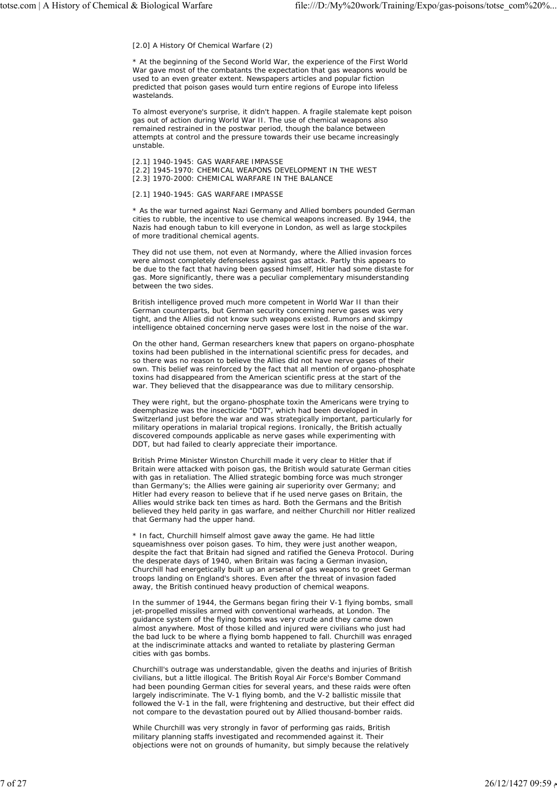[2.0] A History Of Chemical Warfare (2)

\* At the beginning of the Second World War, the experience of the First World War gave most of the combatants the expectation that gas weapons would be used to an even greater extent. Newspapers articles and popular fiction predicted that poison gases would turn entire regions of Europe into lifeless wastelands.

To almost everyone's surprise, it didn't happen. A fragile stalemate kept poison gas out of action during World War II. The use of chemical weapons also remained restrained in the postwar period, though the balance between attempts at control and the pressure towards their use became increasingly unstable.

[2.1] 1940-1945: GAS WARFARE IMPASSE [2.2] 1945-1970: CHEMICAL WEAPONS DEVELOPMENT IN THE WEST [2.3] 1970-2000: CHEMICAL WARFARE IN THE BALANCE

[2.1] 1940-1945: GAS WARFARE IMPASSE

\* As the war turned against Nazi Germany and Allied bombers pounded German cities to rubble, the incentive to use chemical weapons increased. By 1944, the Nazis had enough tabun to kill everyone in London, as well as large stockpiles of more traditional chemical agents.

They did not use them, not even at Normandy, where the Allied invasion forces were almost completely defenseless against gas attack. Partly this appears to be due to the fact that having been gassed himself, Hitler had some distaste for gas. More significantly, there was a peculiar complementary misunderstanding between the two sides.

British intelligence proved much more competent in World War II than their German counterparts, but German security concerning nerve gases was very tight, and the Allies did not know such weapons existed. Rumors and skimpy intelligence obtained concerning nerve gases were lost in the noise of the war.

On the other hand, German researchers knew that papers on organo-phosphate toxins had been published in the international scientific press for decades, and so there was no reason to believe the Allies did not have nerve gases of their own. This belief was reinforced by the fact that all mention of organo-phosphate toxins had disappeared from the American scientific press at the start of the war. They believed that the disappearance was due to military censorship.

They were right, but the organo-phosphate toxin the Americans were trying to deemphasize was the insecticide "DDT", which had been developed in Switzerland just before the war and was strategically important, particularly for military operations in malarial tropical regions. Ironically, the British actually discovered compounds applicable as nerve gases while experimenting with DDT, but had failed to clearly appreciate their importance.

British Prime Minister Winston Churchill made it very clear to Hitler that if Britain were attacked with poison gas, the British would saturate German cities with gas in retaliation. The Allied strategic bombing force was much stronger than Germany's; the Allies were gaining air superiority over Germany; and Hitler had every reason to believe that if he used nerve gases on Britain, the Allies would strike back ten times as hard. Both the Germans and the British believed they held parity in gas warfare, and neither Churchill nor Hitler realized that Germany had the upper hand.

\* In fact, Churchill himself almost gave away the game. He had little squeamishness over poison gases. To him, they were just another weapon, despite the fact that Britain had signed and ratified the Geneva Protocol. During the desperate days of 1940, when Britain was facing a German invasion, Churchill had energetically built up an arsenal of gas weapons to greet German troops landing on England's shores. Even after the threat of invasion faded away, the British continued heavy production of chemical weapons.

In the summer of 1944, the Germans began firing their V-1 flying bombs, small jet-propelled missiles armed with conventional warheads, at London. The guidance system of the flying bombs was very crude and they came down almost anywhere. Most of those killed and injured were civilians who just had the bad luck to be where a flying bomb happened to fall. Churchill was enraged at the indiscriminate attacks and wanted to retaliate by plastering German cities with gas bombs.

Churchill's outrage was understandable, given the deaths and injuries of British civilians, but a little illogical. The British Royal Air Force's Bomber Command had been pounding German cities for several years, and these raids were often largely indiscriminate. The V-1 flying bomb, and the V-2 ballistic missile that followed the V-1 in the fall, were frightening and destructive, but their effect did not compare to the devastation poured out by Allied thousand-bomber raids.

While Churchill was very strongly in favor of performing gas raids, British military planning staffs investigated and recommended against it. Their objections were not on grounds of humanity, but simply because the relatively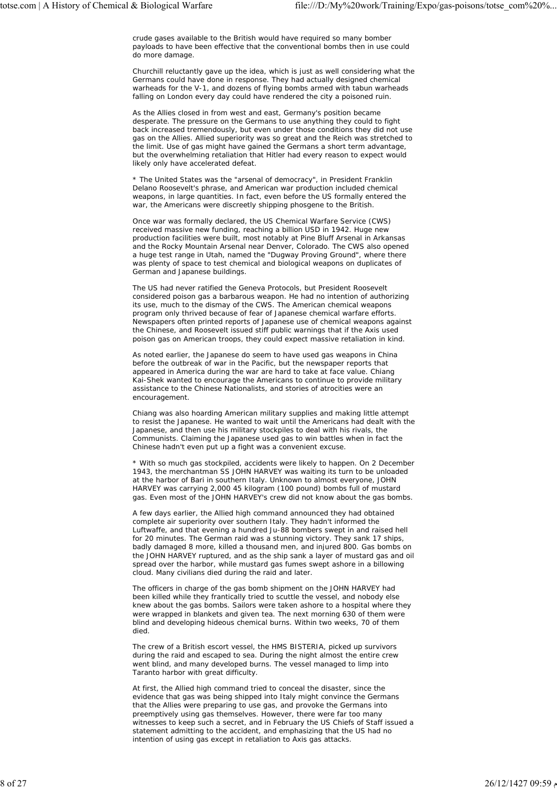crude gases available to the British would have required so many bomber payloads to have been effective that the conventional bombs then in use could do more damage.

Churchill reluctantly gave up the idea, which is just as well considering what the Germans could have done in response. They had actually designed chemical warheads for the V-1, and dozens of flying bombs armed with tabun warheads falling on London every day could have rendered the city a poisoned ruin.

As the Allies closed in from west and east, Germany's position became desperate. The pressure on the Germans to use anything they could to fight back increased tremendously, but even under those conditions they did not use gas on the Allies. Allied superiority was so great and the Reich was stretched to the limit. Use of gas might have gained the Germans a short term advantage, but the overwhelming retaliation that Hitler had every reason to expect would likely only have accelerated defeat.

\* The United States was the "arsenal of democracy", in President Franklin Delano Roosevelt's phrase, and American war production included chemical weapons, in large quantities. In fact, even before the US formally entered the war, the Americans were discreetly shipping phosgene to the British.

Once war was formally declared, the US Chemical Warfare Service (CWS) received massive new funding, reaching a billion USD in 1942. Huge new production facilities were built, most notably at Pine Bluff Arsenal in Arkansas and the Rocky Mountain Arsenal near Denver, Colorado. The CWS also opened a huge test range in Utah, named the "Dugway Proving Ground", where there was plenty of space to test chemical and biological weapons on duplicates of German and Japanese buildings.

The US had never ratified the Geneva Protocols, but President Roosevelt considered poison gas a barbarous weapon. He had no intention of authorizing its use, much to the dismay of the CWS. The American chemical weapons program only thrived because of fear of Japanese chemical warfare efforts. Newspapers often printed reports of Japanese use of chemical weapons against the Chinese, and Roosevelt issued stiff public warnings that if the Axis used poison gas on American troops, they could expect massive retaliation in kind.

As noted earlier, the Japanese do seem to have used gas weapons in China before the outbreak of war in the Pacific, but the newspaper reports that appeared in America during the war are hard to take at face value. Chiang Kai-Shek wanted to encourage the Americans to continue to provide military assistance to the Chinese Nationalists, and stories of atrocities were an encouragement.

Chiang was also hoarding American military supplies and making little attempt to resist the Japanese. He wanted to wait until the Americans had dealt with the Japanese, and then use his military stockpiles to deal with his rivals, the Communists. Claiming the Japanese used gas to win battles when in fact the Chinese hadn't even put up a fight was a convenient excuse.

\* With so much gas stockpiled, accidents were likely to happen. On 2 December 1943, the merchantman SS JOHN HARVEY was waiting its turn to be unloaded at the harbor of Bari in southern Italy. Unknown to almost everyone, JOHN HARVEY was carrying 2,000 45 kilogram (100 pound) bombs full of mustard gas. Even most of the JOHN HARVEY's crew did not know about the gas bombs.

A few days earlier, the Allied high command announced they had obtained complete air superiority over southern Italy. They hadn't informed the Luftwaffe, and that evening a hundred Ju-88 bombers swept in and raised hell for 20 minutes. The German raid was a stunning victory. They sank 17 ships, badly damaged 8 more, killed a thousand men, and injured 800. Gas bombs on the JOHN HARVEY ruptured, and as the ship sank a layer of mustard gas and oil spread over the harbor, while mustard gas fumes swept ashore in a billowing cloud. Many civilians died during the raid and later.

The officers in charge of the gas bomb shipment on the JOHN HARVEY had been killed while they frantically tried to scuttle the vessel, and nobody else knew about the gas bombs. Sailors were taken ashore to a hospital where they were wrapped in blankets and given tea. The next morning 630 of them were blind and developing hideous chemical burns. Within two weeks, 70 of them died

The crew of a British escort vessel, the HMS BISTERIA, picked up survivors during the raid and escaped to sea. During the night almost the entire crew went blind, and many developed burns. The vessel managed to limp into Taranto harbor with great difficulty.

At first, the Allied high command tried to conceal the disaster, since the evidence that gas was being shipped into Italy might convince the Germans that the Allies were preparing to use gas, and provoke the Germans into preemptively using gas themselves. However, there were far too many witnesses to keep such a secret, and in February the US Chiefs of Staff issued a statement admitting to the accident, and emphasizing that the US had no intention of using gas except in retaliation to Axis gas attacks.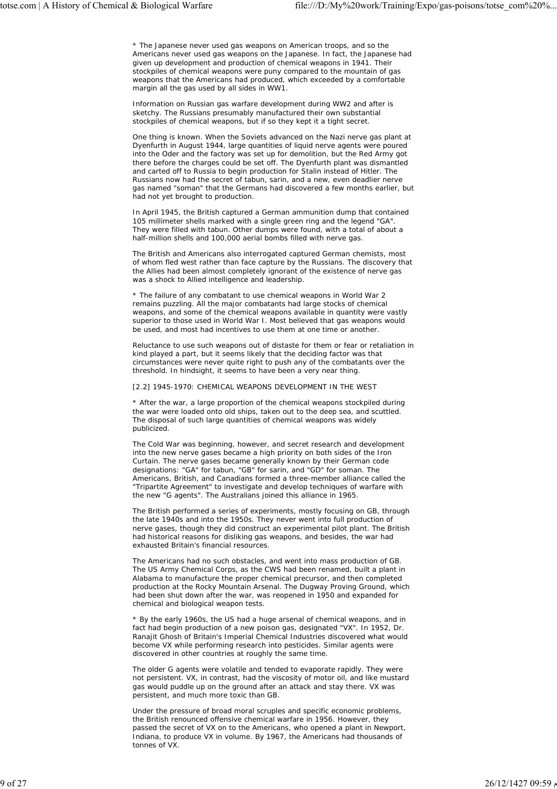\* The Japanese never used gas weapons on American troops, and so the Americans never used gas weapons on the Japanese. In fact, the Japanese had given up development and production of chemical weapons in 1941. Their stockpiles of chemical weapons were puny compared to the mountain of gas weapons that the Americans had produced, which exceeded by a comfortable margin all the gas used by all sides in WW1.

Information on Russian gas warfare development during WW2 and after is sketchy. The Russians presumably manufactured their own substantial stockpiles of chemical weapons, but if so they kept it a tight secret.

One thing is known. When the Soviets advanced on the Nazi nerve gas plant at Dyenfurth in August 1944, large quantities of liquid nerve agents were poured into the Oder and the factory was set up for demolition, but the Red Army got there before the charges could be set off. The Dyenfurth plant was dismantled and carted off to Russia to begin production for Stalin instead of Hitler. The Russians now had the secret of tabun, sarin, and a new, even deadlier nerve gas named "soman" that the Germans had discovered a few months earlier, but had not yet brought to production.

In April 1945, the British captured a German ammunition dump that contained 105 millimeter shells marked with a single green ring and the legend "GA". They were filled with tabun. Other dumps were found, with a total of about a half-million shells and 100,000 aerial bombs filled with nerve gas.

The British and Americans also interrogated captured German chemists, most of whom fled west rather than face capture by the Russians. The discovery that the Allies had been almost completely ignorant of the existence of nerve gas was a shock to Allied intelligence and leadership.

\* The failure of any combatant to use chemical weapons in World War 2 remains puzzling. All the major combatants had large stocks of chemical weapons, and some of the chemical weapons available in quantity were vastly superior to those used in World War I. Most believed that gas weapons would be used, and most had incentives to use them at one time or another.

Reluctance to use such weapons out of distaste for them or fear or retaliation in kind played a part, but it seems likely that the deciding factor was that circumstances were never quite right to push any of the combatants over the threshold. In hindsight, it seems to have been a very near thing.

## [2.2] 1945-1970: CHEMICAL WEAPONS DEVELOPMENT IN THE WEST

\* After the war, a large proportion of the chemical weapons stockpiled during the war were loaded onto old ships, taken out to the deep sea, and scuttled. The disposal of such large quantities of chemical weapons was widely publicized.

The Cold War was beginning, however, and secret research and development into the new nerve gases became a high priority on both sides of the Iron Curtain. The nerve gases became generally known by their German code designations: "GA" for tabun, "GB" for sarin, and "GD" for soman. The Americans, British, and Canadians formed a three-member alliance called the "Tripartite Agreement" to investigate and develop techniques of warfare with the new "G agents". The Australians joined this alliance in 1965.

The British performed a series of experiments, mostly focusing on GB, through the late 1940s and into the 1950s. They never went into full production of nerve gases, though they did construct an experimental pilot plant. The British had historical reasons for disliking gas weapons, and besides, the war had exhausted Britain's financial resources.

The Americans had no such obstacles, and went into mass production of GB. The US Army Chemical Corps, as the CWS had been renamed, built a plant in Alabama to manufacture the proper chemical precursor, and then completed production at the Rocky Mountain Arsenal. The Dugway Proving Ground, which had been shut down after the war, was reopened in 1950 and expanded for chemical and biological weapon tests.

\* By the early 1960s, the US had a huge arsenal of chemical weapons, and in fact had begin production of a new poison gas, designated "VX". In 1952, Dr. Ranajit Ghosh of Britain's Imperial Chemical Industries discovered what would become VX while performing research into pesticides. Similar agents were discovered in other countries at roughly the same time.

The older G agents were volatile and tended to evaporate rapidly. They were not persistent. VX, in contrast, had the viscosity of motor oil, and like mustard gas would puddle up on the ground after an attack and stay there. VX was persistent, and much more toxic than GB.

Under the pressure of broad moral scruples and specific economic problems, the British renounced offensive chemical warfare in 1956. However, they passed the secret of VX on to the Americans, who opened a plant in Newport, Indiana, to produce VX in volume. By 1967, the Americans had thousands of tonnes of VX.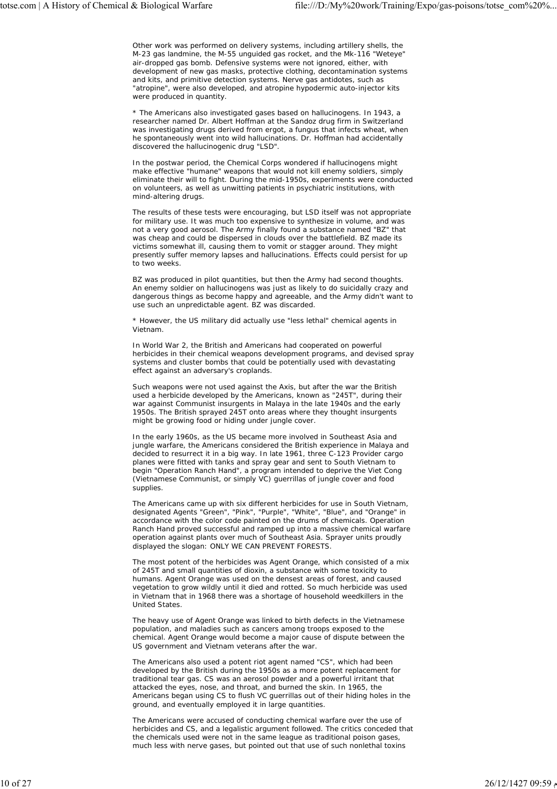Other work was performed on delivery systems, including artillery shells, the M-23 gas landmine, the M-55 unguided gas rocket, and the Mk-116 "Weteye" air-dropped gas bomb. Defensive systems were not ignored, either, with development of new gas masks, protective clothing, decontamination systems and kits, and primitive detection systems. Nerve gas antidotes, such as "atropine", were also developed, and atropine hypodermic auto-injector kits were produced in quantity.

\* The Americans also investigated gases based on hallucinogens. In 1943, a researcher named Dr. Albert Hoffman at the Sandoz drug firm in Switzerland was investigating drugs derived from ergot, a fungus that infects wheat, when he spontaneously went into wild hallucinations. Dr. Hoffman had accidentally discovered the hallucinogenic drug "LSD".

In the postwar period, the Chemical Corps wondered if hallucinogens might make effective "humane" weapons that would not kill enemy soldiers, simply eliminate their will to fight. During the mid-1950s, experiments were conducted on volunteers, as well as unwitting patients in psychiatric institutions, with mind-altering drugs.

The results of these tests were encouraging, but LSD itself was not appropriate for military use. It was much too expensive to synthesize in volume, and was not a very good aerosol. The Army finally found a substance named "BZ" that was cheap and could be dispersed in clouds over the battlefield. BZ made its victims somewhat ill, causing them to vomit or stagger around. They might presently suffer memory lapses and hallucinations. Effects could persist for up to two weeks.

BZ was produced in pilot quantities, but then the Army had second thoughts. An enemy soldier on hallucinogens was just as likely to do suicidally crazy and dangerous things as become happy and agreeable, and the Army didn't want to use such an unpredictable agent. BZ was discarded.

\* However, the US military did actually use "less lethal" chemical agents in Vietnam.

In World War 2, the British and Americans had cooperated on powerful herbicides in their chemical weapons development programs, and devised spray systems and cluster bombs that could be potentially used with devastating effect against an adversary's croplands.

Such weapons were not used against the Axis, but after the war the British used a herbicide developed by the Americans, known as "245T", during their war against Communist insurgents in Malaya in the late 1940s and the early 1950s. The British sprayed 245T onto areas where they thought insurgents might be growing food or hiding under jungle cover.

In the early 1960s, as the US became more involved in Southeast Asia and jungle warfare, the Americans considered the British experience in Malaya and decided to resurrect it in a big way. In late 1961, three C-123 Provider cargo planes were fitted with tanks and spray gear and sent to South Vietnam to begin "Operation Ranch Hand", a program intended to deprive the Viet Cong (Vietnamese Communist, or simply VC) guerrillas of jungle cover and food supplies.

The Americans came up with six different herbicides for use in South Vietnam, designated Agents "Green", "Pink", "Purple", "White", "Blue", and "Orange" in accordance with the color code painted on the drums of chemicals. Operation Ranch Hand proved successful and ramped up into a massive chemical warfare operation against plants over much of Southeast Asia. Sprayer units proudly displayed the slogan: ONLY WE CAN PREVENT FORESTS.

The most potent of the herbicides was Agent Orange, which consisted of a mix of 245T and small quantities of dioxin, a substance with some toxicity to humans. Agent Orange was used on the densest areas of forest, and caused vegetation to grow wildly until it died and rotted. So much herbicide was used in Vietnam that in 1968 there was a shortage of household weedkillers in the United States.

The heavy use of Agent Orange was linked to birth defects in the Vietnamese population, and maladies such as cancers among troops exposed to the chemical. Agent Orange would become a major cause of dispute between the US government and Vietnam veterans after the war.

The Americans also used a potent riot agent named "CS", which had been developed by the British during the 1950s as a more potent replacement for traditional tear gas. CS was an aerosol powder and a powerful irritant that attacked the eyes, nose, and throat, and burned the skin. In 1965, the Americans began using CS to flush VC guerrillas out of their hiding holes in the ground, and eventually employed it in large quantities.

The Americans were accused of conducting chemical warfare over the use of herbicides and CS, and a legalistic argument followed. The critics conceded that the chemicals used were not in the same league as traditional poison gases, much less with nerve gases, but pointed out that use of such nonlethal toxins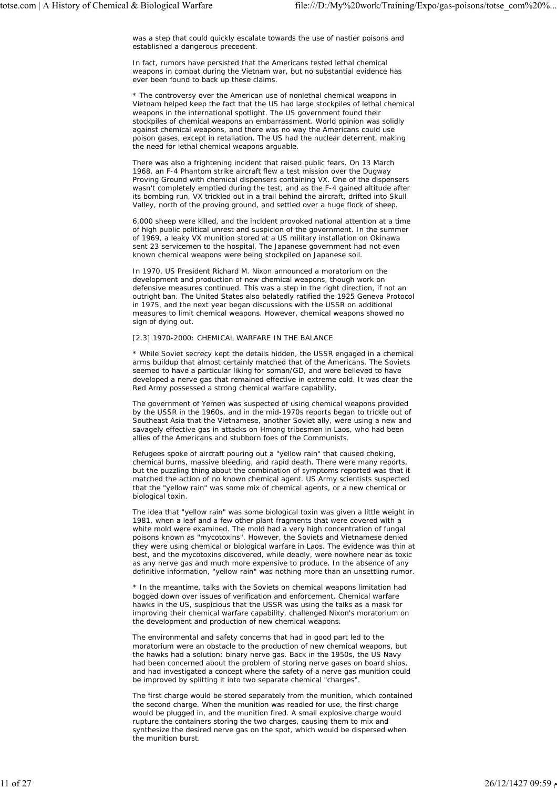was a step that could quickly escalate towards the use of nastier poisons and established a dangerous precedent.

In fact, rumors have persisted that the Americans tested lethal chemical weapons in combat during the Vietnam war, but no substantial evidence has ever been found to back up these claims.

\* The controversy over the American use of nonlethal chemical weapons in Vietnam helped keep the fact that the US had large stockpiles of lethal chemical weapons in the international spotlight. The US government found their stockpiles of chemical weapons an embarrassment. World opinion was solidly against chemical weapons, and there was no way the Americans could use poison gases, except in retaliation. The US had the nuclear deterrent, making the need for lethal chemical weapons arguable.

There was also a frightening incident that raised public fears. On 13 March 1968, an F-4 Phantom strike aircraft flew a test mission over the Dugway Proving Ground with chemical dispensers containing VX. One of the dispensers wasn't completely emptied during the test, and as the F-4 gained altitude after its bombing run, VX trickled out in a trail behind the aircraft, drifted into Skull Valley, north of the proving ground, and settled over a huge flock of sheep.

6,000 sheep were killed, and the incident provoked national attention at a time of high public political unrest and suspicion of the government. In the summer of 1969, a leaky VX munition stored at a US military installation on Okinawa sent 23 servicemen to the hospital. The Japanese government had not even known chemical weapons were being stockpiled on Japanese soil.

In 1970, US President Richard M. Nixon announced a moratorium on the development and production of new chemical weapons, though work on defensive measures continued. This was a step in the right direction, if not an outright ban. The United States also belatedly ratified the 1925 Geneva Protocol in 1975, and the next year began discussions with the USSR on additional measures to limit chemical weapons. However, chemical weapons showed no sign of dying out.

## [2.3] 1970-2000: CHEMICAL WARFARE IN THE BALANCE

\* While Soviet secrecy kept the details hidden, the USSR engaged in a chemical arms buildup that almost certainly matched that of the Americans. The Soviets seemed to have a particular liking for soman/GD, and were believed to have developed a nerve gas that remained effective in extreme cold. It was clear the Red Army possessed a strong chemical warfare capability.

The government of Yemen was suspected of using chemical weapons provided by the USSR in the 1960s, and in the mid-1970s reports began to trickle out of Southeast Asia that the Vietnamese, another Soviet ally, were using a new and savagely effective gas in attacks on Hmong tribesmen in Laos, who had been allies of the Americans and stubborn foes of the Communists.

Refugees spoke of aircraft pouring out a "yellow rain" that caused choking, chemical burns, massive bleeding, and rapid death. There were many reports, but the puzzling thing about the combination of symptoms reported was that it matched the action of no known chemical agent. US Army scientists suspected that the "yellow rain" was some mix of chemical agents, or a new chemical or biological toxin.

The idea that "yellow rain" was some biological toxin was given a little weight in 1981, when a leaf and a few other plant fragments that were covered with a white mold were examined. The mold had a very high concentration of fungal poisons known as "mycotoxins". However, the Soviets and Vietnamese denied they were using chemical or biological warfare in Laos. The evidence was thin at best, and the mycotoxins discovered, while deadly, were nowhere near as toxic as any nerve gas and much more expensive to produce. In the absence of any definitive information, "yellow rain" was nothing more than an unsettling rumor.

\* In the meantime, talks with the Soviets on chemical weapons limitation had bogged down over issues of verification and enforcement. Chemical warfare hawks in the US, suspicious that the USSR was using the talks as a mask for improving their chemical warfare capability, challenged Nixon's moratorium on the development and production of new chemical weapons.

The environmental and safety concerns that had in good part led to the moratorium were an obstacle to the production of new chemical weapons, but the hawks had a solution: binary nerve gas. Back in the 1950s, the US Navy had been concerned about the problem of storing nerve gases on board ships. and had investigated a concept where the safety of a nerve gas munition could be improved by splitting it into two separate chemical "charges".

The first charge would be stored separately from the munition, which contained the second charge. When the munition was readied for use, the first charge would be plugged in, and the munition fired. A small explosive charge would rupture the containers storing the two charges, causing them to mix and synthesize the desired nerve gas on the spot, which would be dispersed when the munition burst.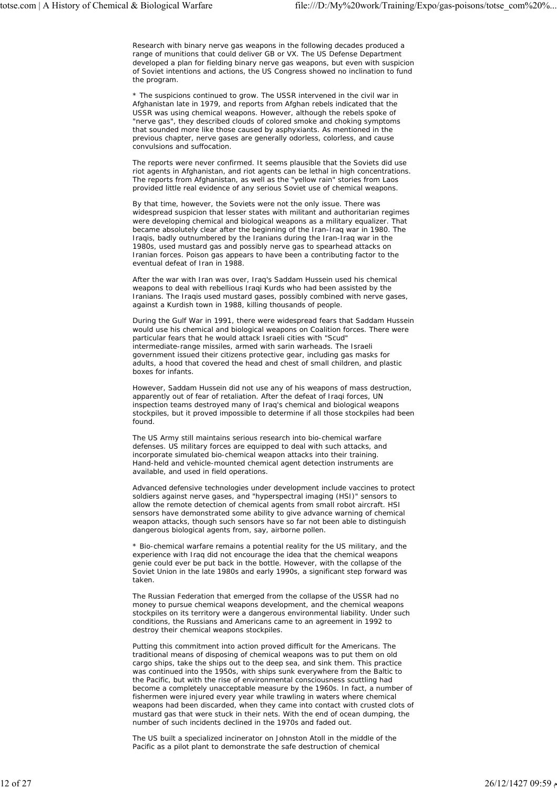Research with binary nerve gas weapons in the following decades produced a range of munitions that could deliver GB or VX. The US Defense Department developed a plan for fielding binary nerve gas weapons, but even with suspicion of Soviet intentions and actions, the US Congress showed no inclination to fund the program.

\* The suspicions continued to grow. The USSR intervened in the civil war in Afghanistan late in 1979, and reports from Afghan rebels indicated that the USSR was using chemical weapons. However, although the rebels spoke of "nerve gas", they described clouds of colored smoke and choking symptoms that sounded more like those caused by asphyxiants. As mentioned in the previous chapter, nerve gases are generally odorless, colorless, and cause convulsions and suffocation.

The reports were never confirmed. It seems plausible that the Soviets did use riot agents in Afghanistan, and riot agents can be lethal in high concentrations. The reports from Afghanistan, as well as the "yellow rain" stories from Laos provided little real evidence of any serious Soviet use of chemical weapons.

By that time, however, the Soviets were not the only issue. There was widespread suspicion that lesser states with militant and authoritarian regimes were developing chemical and biological weapons as a military equalizer. That became absolutely clear after the beginning of the Iran-Iraq war in 1980. The Iraqis, badly outnumbered by the Iranians during the Iran-Iraq war in the 1980s, used mustard gas and possibly nerve gas to spearhead attacks on Iranian forces. Poison gas appears to have been a contributing factor to the eventual defeat of Iran in 1988.

After the war with Iran was over, Iraq's Saddam Hussein used his chemical weapons to deal with rebellious Iraqi Kurds who had been assisted by the Iranians. The Iraqis used mustard gases, possibly combined with nerve gases, against a Kurdish town in 1988, killing thousands of people.

During the Gulf War in 1991, there were widespread fears that Saddam Hussein would use his chemical and biological weapons on Coalition forces. There were particular fears that he would attack Israeli cities with "Scud" intermediate-range missiles, armed with sarin warheads. The Israeli government issued their citizens protective gear, including gas masks for adults, a hood that covered the head and chest of small children, and plastic boxes for infants.

However, Saddam Hussein did not use any of his weapons of mass destruction, apparently out of fear of retaliation. After the defeat of Iraqi forces, UN inspection teams destroyed many of Iraq's chemical and biological weapons stockpiles, but it proved impossible to determine if all those stockpiles had been found.

The US Army still maintains serious research into bio-chemical warfare defenses. US military forces are equipped to deal with such attacks, and incorporate simulated bio-chemical weapon attacks into their training. Hand-held and vehicle-mounted chemical agent detection instruments are available, and used in field operations.

Advanced defensive technologies under development include vaccines to protect soldiers against nerve gases, and "hyperspectral imaging (HSI)" sensors to allow the remote detection of chemical agents from small robot aircraft. HSI sensors have demonstrated some ability to give advance warning of chemical weapon attacks, though such sensors have so far not been able to distinguish dangerous biological agents from, say, airborne pollen.

\* Bio-chemical warfare remains a potential reality for the US military, and the experience with Iraq did not encourage the idea that the chemical weapons genie could ever be put back in the bottle. However, with the collapse of the Soviet Union in the late 1980s and early 1990s, a significant step forward was taken.

The Russian Federation that emerged from the collapse of the USSR had no money to pursue chemical weapons development, and the chemical weapons stockpiles on its territory were a dangerous environmental liability. Under such conditions, the Russians and Americans came to an agreement in 1992 to destroy their chemical weapons stockpiles.

Putting this commitment into action proved difficult for the Americans. The traditional means of disposing of chemical weapons was to put them on old cargo ships, take the ships out to the deep sea, and sink them. This practice was continued into the 1950s, with ships sunk everywhere from the Baltic to the Pacific, but with the rise of environmental consciousness scuttling had become a completely unacceptable measure by the 1960s. In fact, a number of fishermen were injured every year while trawling in waters where chemical weapons had been discarded, when they came into contact with crusted clots of mustard gas that were stuck in their nets. With the end of ocean dumping, the number of such incidents declined in the 1970s and faded out.

The US built a specialized incinerator on Johnston Atoll in the middle of the Pacific as a pilot plant to demonstrate the safe destruction of chemical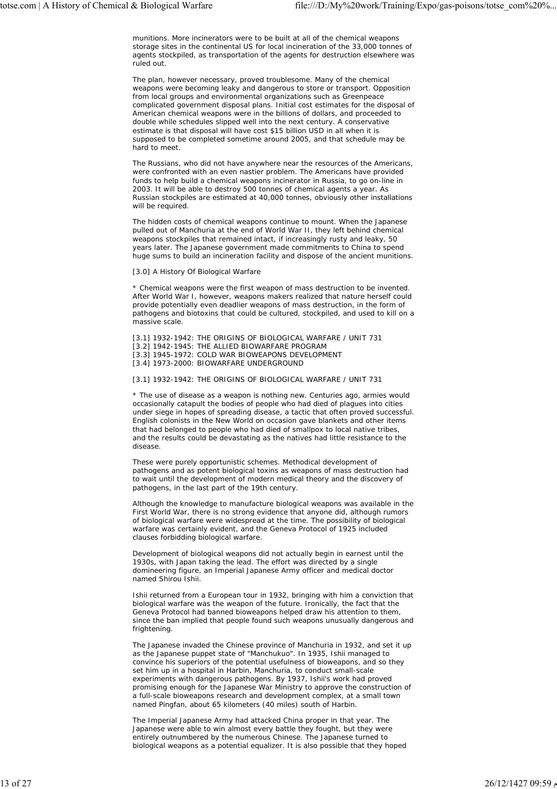munitions. More incinerators were to be built at all of the chemical weapons storage sites in the continental US for local incineration of the 33,000 tonnes of agents stockpiled, as transportation of the agents for destruction elsewhere was ruled out.

The plan, however necessary, proved troublesome. Many of the chemical weapons were becoming leaky and dangerous to store or transport. Opposition from local groups and environmental organizations such as Greenpeace complicated government disposal plans. Initial cost estimates for the disposal of American chemical weapons were in the billions of dollars, and proceeded to double while schedules slipped well into the next century. A conservative estimate is that disposal will have cost \$15 billion USD in all when it is supposed to be completed sometime around 2005, and that schedule may be hard to meet.

The Russians, who did not have anywhere near the resources of the Americans, were confronted with an even nastier problem. The Americans have provided funds to help build a chemical weapons incinerator in Russia, to go on-line in 2003. It will be able to destroy 500 tonnes of chemical agents a year. As Russian stockpiles are estimated at 40,000 tonnes, obviously other installations will be required.

The hidden costs of chemical weapons continue to mount. When the Japanese pulled out of Manchuria at the end of World War II, they left behind chemical weapons stockpiles that remained intact, if increasingly rusty and leaky, 50 years later. The Japanese government made commitments to China to spend huge sums to build an incineration facility and dispose of the ancient munitions.

#### [3.0] A History Of Biological Warfare

\* Chemical weapons were the first weapon of mass destruction to be invented. After World War I, however, weapons makers realized that nature herself could provide potentially even deadlier weapons of mass destruction, in the form of pathogens and biotoxins that could be cultured, stockpiled, and used to kill on a massive scale.

[3.1] 1932-1942: THE ORIGINS OF BIOLOGICAL WARFARE / UNIT 731 [3.2] 1942-1945: THE ALLIED BIOWARFARE PROGRAM [3.3] 1945-1972: COLD WAR BIOWEAPONS DEVELOPMENT [3.4] 1973-2000: BIOWARFARE UNDERGROUND

#### [3.1] 1932-1942: THE ORIGINS OF BIOLOGICAL WARFARE / UNIT 731

\* The use of disease as a weapon is nothing new. Centuries ago, armies would occasionally catapult the bodies of people who had died of plagues into cities under siege in hopes of spreading disease, a tactic that often proved successful. English colonists in the New World on occasion gave blankets and other items that had belonged to people who had died of smallpox to local native tribes, and the results could be devastating as the natives had little resistance to the disease.

These were purely opportunistic schemes. Methodical development of pathogens and as potent biological toxins as weapons of mass destruction had to wait until the development of modern medical theory and the discovery of pathogens, in the last part of the 19th century.

Although the knowledge to manufacture biological weapons was available in the First World War, there is no strong evidence that anyone did, although rumors of biological warfare were widespread at the time. The possibility of biological warfare was certainly evident, and the Geneva Protocol of 1925 included clauses forbidding biological warfare.

Development of biological weapons did not actually begin in earnest until the 1930s, with Japan taking the lead. The effort was directed by a single domineering figure, an Imperial Japanese Army officer and medical doctor named Shirou Ishii.

Ishii returned from a European tour in 1932, bringing with him a conviction that biological warfare was the weapon of the future. Ironically, the fact that the Geneva Protocol had banned bioweapons helped draw his attention to them, since the ban implied that people found such weapons unusually dangerous and frightening.

The Japanese invaded the Chinese province of Manchuria in 1932, and set it up as the Japanese puppet state of "Manchukuo". In 1935, Ishii managed to convince his superiors of the potential usefulness of bioweapons, and so they set him up in a hospital in Harbin, Manchuria, to conduct small-scale experiments with dangerous pathogens. By 1937, Ishii's work had proved promising enough for the Japanese War Ministry to approve the construction of a full-scale bioweapons research and development complex, at a small town named Pingfan, about 65 kilometers (40 miles) south of Harbin.

The Imperial Japanese Army had attacked China proper in that year. The Japanese were able to win almost every battle they fought, but they were entirely outnumbered by the numerous Chinese. The Japanese turned to biological weapons as a potential equalizer. It is also possible that they hoped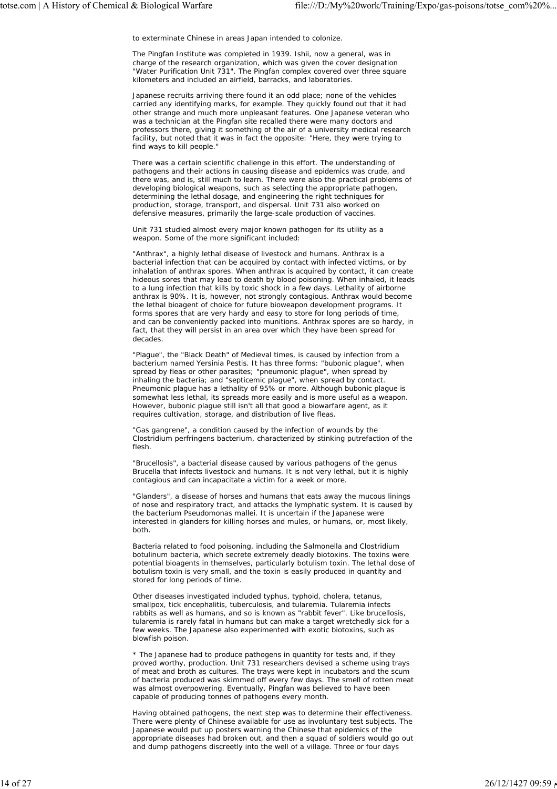to exterminate Chinese in areas Japan intended to colonize.

The Pingfan Institute was completed in 1939. Ishii, now a general, was in charge of the research organization, which was given the cover designation "Water Purification Unit 731". The Pingfan complex covered over three square kilometers and included an airfield, barracks, and laboratories.

Japanese recruits arriving there found it an odd place; none of the vehicles carried any identifying marks, for example. They quickly found out that it had other strange and much more unpleasant features. One Japanese veteran who was a technician at the Pingfan site recalled there were many doctors and professors there, giving it something of the air of a university medical research facility, but noted that it was in fact the opposite: "Here, they were trying to find ways to kill people."

There was a certain scientific challenge in this effort. The understanding of pathogens and their actions in causing disease and epidemics was crude, and there was, and is, still much to learn. There were also the practical problems of developing biological weapons, such as selecting the appropriate pathogen, determining the lethal dosage, and engineering the right techniques for production, storage, transport, and dispersal. Unit 731 also worked on defensive measures, primarily the large-scale production of vaccines.

Unit 731 studied almost every major known pathogen for its utility as a weapon. Some of the more significant included:

"Anthrax", a highly lethal disease of livestock and humans. Anthrax is a bacterial infection that can be acquired by contact with infected victims, or by inhalation of anthrax spores. When anthrax is acquired by contact, it can create hideous sores that may lead to death by blood poisoning. When inhaled, it leads to a lung infection that kills by toxic shock in a few days. Lethality of airborne anthrax is 90%. It is, however, not strongly contagious. Anthrax would become the lethal bioagent of choice for future bioweapon development programs. It forms spores that are very hardy and easy to store for long periods of time, and can be conveniently packed into munitions. Anthrax spores are so hardy, in fact, that they will persist in an area over which they have been spread for decades.

"Plague", the "Black Death" of Medieval times, is caused by infection from a bacterium named Yersinia Pestis. It has three forms: "bubonic plague", when spread by fleas or other parasites; "pneumonic plague", when spread by inhaling the bacteria; and "septicemic plague", when spread by contact. Pneumonic plague has a lethality of 95% or more. Although bubonic plague is somewhat less lethal, its spreads more easily and is more useful as a weapon. However, bubonic plague still isn't all that good a biowarfare agent, as it requires cultivation, storage, and distribution of live fleas.

"Gas gangrene", a condition caused by the infection of wounds by the Clostridium perfringens bacterium, characterized by stinking putrefaction of the flesh.

"Brucellosis", a bacterial disease caused by various pathogens of the genus Brucella that infects livestock and humans. It is not very lethal, but it is highly contagious and can incapacitate a victim for a week or more.

"Glanders", a disease of horses and humans that eats away the mucous linings of nose and respiratory tract, and attacks the lymphatic system. It is caused by the bacterium Pseudomonas mallei. It is uncertain if the Japanese were interested in glanders for killing horses and mules, or humans, or, most likely, both.

Bacteria related to food poisoning, including the Salmonella and Clostridium botulinum bacteria, which secrete extremely deadly biotoxins. The toxins were potential bioagents in themselves, particularly botulism toxin. The lethal dose of botulism toxin is very small, and the toxin is easily produced in quantity and stored for long periods of time.

Other diseases investigated included typhus, typhoid, cholera, tetanus, smallpox, tick encephalitis, tuberculosis, and tularemia. Tularemia infects rabbits as well as humans, and so is known as "rabbit fever". Like brucellosis, tularemia is rarely fatal in humans but can make a target wretchedly sick for a few weeks. The Japanese also experimented with exotic biotoxins, such as blowfish poison.

\* The Japanese had to produce pathogens in quantity for tests and, if they proved worthy, production. Unit 731 researchers devised a scheme using trays of meat and broth as cultures. The trays were kept in incubators and the scum of bacteria produced was skimmed off every few days. The smell of rotten meat was almost overpowering. Eventually, Pingfan was believed to have been capable of producing tonnes of pathogens every month.

Having obtained pathogens, the next step was to determine their effectiveness. There were plenty of Chinese available for use as involuntary test subjects. The Japanese would put up posters warning the Chinese that epidemics of the appropriate diseases had broken out, and then a squad of soldiers would go out and dump pathogens discreetly into the well of a village. Three or four days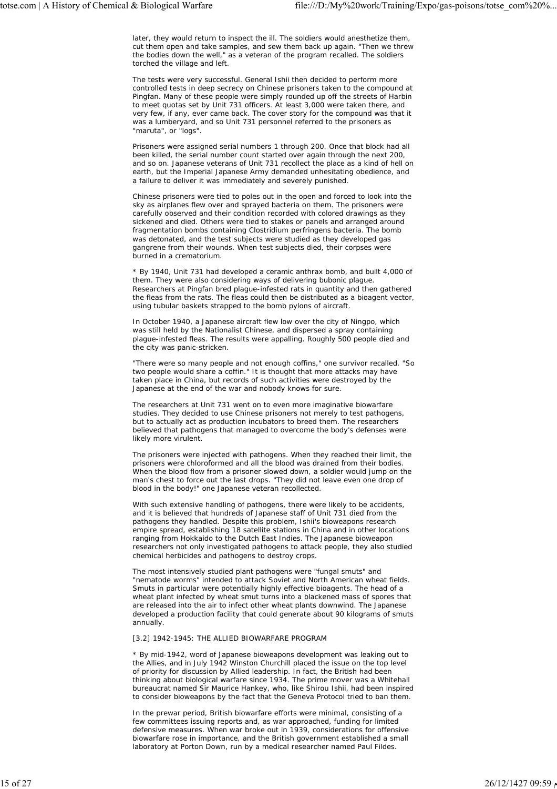later, they would return to inspect the ill. The soldiers would anesthetize them, cut them open and take samples, and sew them back up again. "Then we threw the bodies down the well," as a veteran of the program recalled. The soldiers torched the village and left.

The tests were very successful. General Ishii then decided to perform more controlled tests in deep secrecy on Chinese prisoners taken to the compound at Pingfan. Many of these people were simply rounded up off the streets of Harbin to meet quotas set by Unit 731 officers. At least 3,000 were taken there, and very few, if any, ever came back. The cover story for the compound was that it was a lumberyard, and so Unit 731 personnel referred to the prisoners as "maruta", or "logs".

Prisoners were assigned serial numbers 1 through 200. Once that block had all been killed, the serial number count started over again through the next 200, and so on. Japanese veterans of Unit 731 recollect the place as a kind of hell on earth, but the Imperial Japanese Army demanded unhesitating obedience, and a failure to deliver it was immediately and severely punished.

Chinese prisoners were tied to poles out in the open and forced to look into the sky as airplanes flew over and sprayed bacteria on them. The prisoners were carefully observed and their condition recorded with colored drawings as they sickened and died. Others were tied to stakes or panels and arranged around fragmentation bombs containing Clostridium perfringens bacteria. The bomb was detonated, and the test subjects were studied as they developed gas gangrene from their wounds. When test subjects died, their corpses were burned in a crematorium.

\* By 1940, Unit 731 had developed a ceramic anthrax bomb, and built 4,000 of them. They were also considering ways of delivering bubonic plague. Researchers at Pingfan bred plague-infested rats in quantity and then gathered the fleas from the rats. The fleas could then be distributed as a bioagent vector, using tubular baskets strapped to the bomb pylons of aircraft.

In October 1940, a Japanese aircraft flew low over the city of Ningpo, which was still held by the Nationalist Chinese, and dispersed a spray containing plague-infested fleas. The results were appalling. Roughly 500 people died and the city was panic-stricken.

"There were so many people and not enough coffins," one survivor recalled. "So two people would share a coffin." It is thought that more attacks may have taken place in China, but records of such activities were destroyed by the Japanese at the end of the war and nobody knows for sure.

The researchers at Unit 731 went on to even more imaginative biowarfare studies. They decided to use Chinese prisoners not merely to test pathogens, but to actually act as production incubators to breed them. The researchers believed that pathogens that managed to overcome the body's defenses were likely more virulent.

The prisoners were injected with pathogens. When they reached their limit, the prisoners were chloroformed and all the blood was drained from their bodies. When the blood flow from a prisoner slowed down, a soldier would jump on the man's chest to force out the last drops. "They did not leave even one drop of blood in the body!" one Japanese veteran recollected.

With such extensive handling of pathogens, there were likely to be accidents, and it is believed that hundreds of Japanese staff of Unit 731 died from the pathogens they handled. Despite this problem, Ishii's bioweapons research empire spread, establishing 18 satellite stations in China and in other locations ranging from Hokkaido to the Dutch East Indies. The Japanese bioweapon researchers not only investigated pathogens to attack people, they also studied chemical herbicides and pathogens to destroy crops.

The most intensively studied plant pathogens were "fungal smuts" and "nematode worms" intended to attack Soviet and North American wheat fields. Smuts in particular were potentially highly effective bioagents. The head of a wheat plant infected by wheat smut turns into a blackened mass of spores that are released into the air to infect other wheat plants downwind. The Japanese developed a production facility that could generate about 90 kilograms of smuts annually.

## [3.2] 1942-1945: THE ALLIED BIOWARFARE PROGRAM

\* By mid-1942, word of Japanese bioweapons development was leaking out to the Allies, and in July 1942 Winston Churchill placed the issue on the top level of priority for discussion by Allied leadership. In fact, the British had been thinking about biological warfare since 1934. The prime mover was a Whitehall bureaucrat named Sir Maurice Hankey, who, like Shirou Ishii, had been inspired to consider bioweapons by the fact that the Geneva Protocol tried to ban them.

In the prewar period, British biowarfare efforts were minimal, consisting of a few committees issuing reports and, as war approached, funding for limited defensive measures. When war broke out in 1939, considerations for offensive biowarfare rose in importance, and the British government established a small laboratory at Porton Down, run by a medical researcher named Paul Fildes.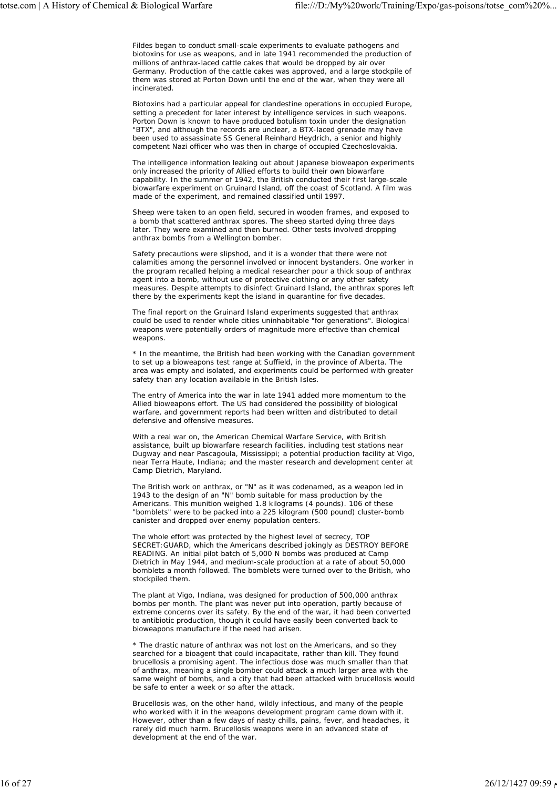Fildes began to conduct small-scale experiments to evaluate pathogens and biotoxins for use as weapons, and in late 1941 recommended the production of millions of anthrax-laced cattle cakes that would be dropped by air over Germany. Production of the cattle cakes was approved, and a large stockpile of them was stored at Porton Down until the end of the war, when they were all incinerated.

Biotoxins had a particular appeal for clandestine operations in occupied Europe, setting a precedent for later interest by intelligence services in such weapons. Porton Down is known to have produced botulism toxin under the designation "BTX", and although the records are unclear, a BTX-laced grenade may have been used to assassinate SS General Reinhard Heydrich, a senior and highly competent Nazi officer who was then in charge of occupied Czechoslovakia.

The intelligence information leaking out about Japanese bioweapon experiments only increased the priority of Allied efforts to build their own biowarfare capability. In the summer of 1942, the British conducted their first large-scale biowarfare experiment on Gruinard Island, off the coast of Scotland. A film was made of the experiment, and remained classified until 1997.

Sheep were taken to an open field, secured in wooden frames, and exposed to a bomb that scattered anthrax spores. The sheep started dying three days later. They were examined and then burned. Other tests involved dropping anthrax bombs from a Wellington bomber.

Safety precautions were slipshod, and it is a wonder that there were not calamities among the personnel involved or innocent bystanders. One worker in the program recalled helping a medical researcher pour a thick soup of anthrax agent into a bomb, without use of protective clothing or any other safety measures. Despite attempts to disinfect Gruinard Island, the anthrax spores left there by the experiments kept the island in quarantine for five decades.

The final report on the Gruinard Island experiments suggested that anthrax could be used to render whole cities uninhabitable "for generations". Biological weapons were potentially orders of magnitude more effective than chemical weapons.

\* In the meantime, the British had been working with the Canadian government to set up a bioweapons test range at Suffield, in the province of Alberta. The area was empty and isolated, and experiments could be performed with greater safety than any location available in the British Isles.

The entry of America into the war in late 1941 added more momentum to the Allied bioweapons effort. The US had considered the possibility of biological warfare, and government reports had been written and distributed to detail defensive and offensive measures.

With a real war on, the American Chemical Warfare Service, with British assistance, built up biowarfare research facilities, including test stations near Dugway and near Pascagoula, Mississippi; a potential production facility at Vigo, near Terra Haute, Indiana; and the master research and development center at Camp Dietrich, Maryland.

The British work on anthrax, or "N" as it was codenamed, as a weapon led in 1943 to the design of an "N" bomb suitable for mass production by the Americans. This munition weighed 1.8 kilograms (4 pounds). 106 of these "bomblets" were to be packed into a 225 kilogram (500 pound) cluster-bomb canister and dropped over enemy population centers.

The whole effort was protected by the highest level of secrecy, TOP SECRET:GUARD, which the Americans described jokingly as DESTROY BEFORE READING. An initial pilot batch of 5,000 N bombs was produced at Camp Dietrich in May 1944, and medium-scale production at a rate of about 50,000 bomblets a month followed. The bomblets were turned over to the British, who stockpiled them.

The plant at Vigo, Indiana, was designed for production of 500,000 anthrax bombs per month. The plant was never put into operation, partly because of extreme concerns over its safety. By the end of the war, it had been converted to antibiotic production, though it could have easily been converted back to bioweapons manufacture if the need had arisen.

\* The drastic nature of anthrax was not lost on the Americans, and so they searched for a bioagent that could incapacitate, rather than kill. They found brucellosis a promising agent. The infectious dose was much smaller than that of anthrax, meaning a single bomber could attack a much larger area with the same weight of bombs, and a city that had been attacked with brucellosis would be safe to enter a week or so after the attack.

Brucellosis was, on the other hand, wildly infectious, and many of the people who worked with it in the weapons development program came down with it. However, other than a few days of nasty chills, pains, fever, and headaches, it rarely did much harm. Brucellosis weapons were in an advanced state of development at the end of the war.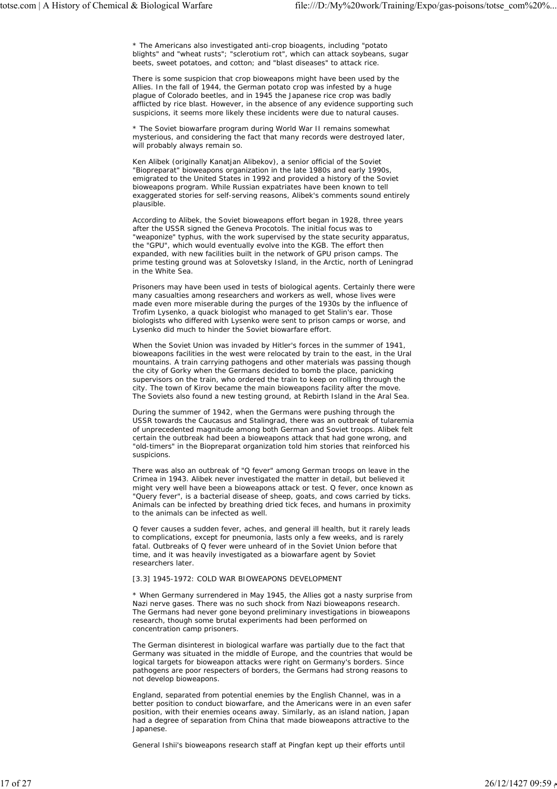\* The Americans also investigated anti-crop bioagents, including "potato blights" and "wheat rusts"; "sclerotium rot", which can attack soybeans, sugar beets, sweet potatoes, and cotton; and "blast diseases" to attack rice.

There is some suspicion that crop bioweapons might have been used by the Allies. In the fall of 1944, the German potato crop was infested by a huge plague of Colorado beetles, and in 1945 the Japanese rice crop was badly afflicted by rice blast. However, in the absence of any evidence supporting such suspicions, it seems more likely these incidents were due to natural causes.

\* The Soviet biowarfare program during World War II remains somewhat mysterious, and considering the fact that many records were destroyed later, will probably always remain so.

Ken Alibek (originally Kanatjan Alibekov), a senior official of the Soviet "Biopreparat" bioweapons organization in the late 1980s and early 1990s, emigrated to the United States in 1992 and provided a history of the Soviet bioweapons program. While Russian expatriates have been known to tell exaggerated stories for self-serving reasons, Alibek's comments sound entirely plausible.

According to Alibek, the Soviet bioweapons effort began in 1928, three years after the USSR signed the Geneva Procotols. The initial focus was to "weaponize" typhus, with the work supervised by the state security apparatus, the "GPU", which would eventually evolve into the KGB. The effort then expanded, with new facilities built in the network of GPU prison camps. The prime testing ground was at Solovetsky Island, in the Arctic, north of Leningrad in the White Sea.

Prisoners may have been used in tests of biological agents. Certainly there were many casualties among researchers and workers as well, whose lives were made even more miserable during the purges of the 1930s by the influence of Trofim Lysenko, a quack biologist who managed to get Stalin's ear. Those biologists who differed with Lysenko were sent to prison camps or worse, and Lysenko did much to hinder the Soviet biowarfare effort.

When the Soviet Union was invaded by Hitler's forces in the summer of 1941, bioweapons facilities in the west were relocated by train to the east, in the Ural mountains. A train carrying pathogens and other materials was passing though the city of Gorky when the Germans decided to bomb the place, panicking supervisors on the train, who ordered the train to keep on rolling through the city. The town of Kirov became the main bioweapons facility after the move. The Soviets also found a new testing ground, at Rebirth Island in the Aral Sea.

During the summer of 1942, when the Germans were pushing through the USSR towards the Caucasus and Stalingrad, there was an outbreak of tularemia of unprecedented magnitude among both German and Soviet troops. Alibek felt certain the outbreak had been a bioweapons attack that had gone wrong, and "old-timers" in the Biopreparat organization told him stories that reinforced his suspicions.

There was also an outbreak of "Q fever" among German troops on leave in the Crimea in 1943. Alibek never investigated the matter in detail, but believed it might very well have been a bioweapons attack or test. Q fever, once known as "Query fever", is a bacterial disease of sheep, goats, and cows carried by ticks. Animals can be infected by breathing dried tick feces, and humans in proximity to the animals can be infected as well.

Q fever causes a sudden fever, aches, and general ill health, but it rarely leads to complications, except for pneumonia, lasts only a few weeks, and is rarely fatal. Outbreaks of Q fever were unheard of in the Soviet Union before that time, and it was heavily investigated as a biowarfare agent by Soviet researchers later.

# [3.3] 1945-1972: COLD WAR BIOWEAPONS DEVELOPMENT

\* When Germany surrendered in May 1945, the Allies got a nasty surprise from Nazi nerve gases. There was no such shock from Nazi bioweapons research. The Germans had never gone beyond preliminary investigations in bioweapons research, though some brutal experiments had been performed on concentration camp prisoners.

The German disinterest in biological warfare was partially due to the fact that Germany was situated in the middle of Europe, and the countries that would be logical targets for bioweapon attacks were right on Germany's borders. Since pathogens are poor respecters of borders, the Germans had strong reasons to not develop bioweapons.

England, separated from potential enemies by the English Channel, was in a better position to conduct biowarfare, and the Americans were in an even safer position, with their enemies oceans away. Similarly, as an island nation, Japan had a degree of separation from China that made bioweapons attractive to the Japanese.

General Ishii's bioweapons research staff at Pingfan kept up their efforts until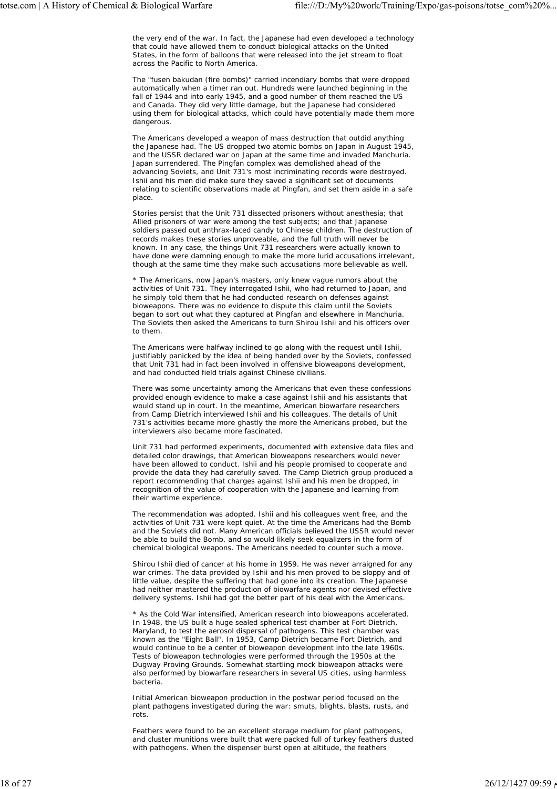the very end of the war. In fact, the Japanese had even developed a technology that could have allowed them to conduct biological attacks on the United States, in the form of balloons that were released into the jet stream to float across the Pacific to North America.

The "fusen bakudan (fire bombs)" carried incendiary bombs that were dropped automatically when a timer ran out. Hundreds were launched beginning in the fall of 1944 and into early 1945, and a good number of them reached the US and Canada. They did very little damage, but the Japanese had considered using them for biological attacks, which could have potentially made them more dangerous.

The Americans developed a weapon of mass destruction that outdid anything the Japanese had. The US dropped two atomic bombs on Japan in August 1945, and the USSR declared war on Japan at the same time and invaded Manchuria. Japan surrendered. The Pingfan complex was demolished ahead of the advancing Soviets, and Unit 731's most incriminating records were destroyed. Ishii and his men did make sure they saved a significant set of documents relating to scientific observations made at Pingfan, and set them aside in a safe place.

Stories persist that the Unit 731 dissected prisoners without anesthesia; that Allied prisoners of war were among the test subjects; and that Japanese soldiers passed out anthrax-laced candy to Chinese children. The destruction of records makes these stories unproveable, and the full truth will never be known. In any case, the things Unit 731 researchers were actually known to have done were damning enough to make the more lurid accusations irrelevant, though at the same time they make such accusations more believable as well.

\* The Americans, now Japan's masters, only knew vague rumors about the activities of Unit 731. They interrogated Ishii, who had returned to Japan, and he simply told them that he had conducted research on defenses against bioweapons. There was no evidence to dispute this claim until the Soviets began to sort out what they captured at Pingfan and elsewhere in Manchuria. The Soviets then asked the Americans to turn Shirou Ishii and his officers over to them.

The Americans were halfway inclined to go along with the request until Ishii, justifiably panicked by the idea of being handed over by the Soviets, confessed that Unit 731 had in fact been involved in offensive bioweapons development, and had conducted field trials against Chinese civilians.

There was some uncertainty among the Americans that even these confessions provided enough evidence to make a case against Ishii and his assistants that would stand up in court. In the meantime, American biowarfare researchers from Camp Dietrich interviewed Ishii and his colleagues. The details of Unit 731's activities became more ghastly the more the Americans probed, but the interviewers also became more fascinated.

Unit 731 had performed experiments, documented with extensive data files and detailed color drawings, that American bioweapons researchers would never have been allowed to conduct. Ishii and his people promised to cooperate and provide the data they had carefully saved. The Camp Dietrich group produced a report recommending that charges against Ishii and his men be dropped, in recognition of the value of cooperation with the Japanese and learning from their wartime experience.

The recommendation was adopted. Ishii and his colleagues went free, and the activities of Unit 731 were kept quiet. At the time the Americans had the Bomb and the Soviets did not. Many American officials believed the USSR would never be able to build the Bomb, and so would likely seek equalizers in the form of chemical biological weapons. The Americans needed to counter such a move.

Shirou Ishii died of cancer at his home in 1959. He was never arraigned for any war crimes. The data provided by Ishii and his men proved to be sloppy and of little value, despite the suffering that had gone into its creation. The Japanese had neither mastered the production of biowarfare agents nor devised effective delivery systems. Ishii had got the better part of his deal with the Americans.

\* As the Cold War intensified, American research into bioweapons accelerated. In 1948, the US built a huge sealed spherical test chamber at Fort Dietrich, Maryland, to test the aerosol dispersal of pathogens. This test chamber was known as the "Eight Ball". In 1953, Camp Dietrich became Fort Dietrich, and would continue to be a center of bioweapon development into the late 1960s. Tests of bioweapon technologies were performed through the 1950s at the Dugway Proving Grounds. Somewhat startling mock bioweapon attacks were also performed by biowarfare researchers in several US cities, using harmless bacteria.

Initial American bioweapon production in the postwar period focused on the plant pathogens investigated during the war: smuts, blights, blasts, rusts, and rots.

Feathers were found to be an excellent storage medium for plant pathogens, and cluster munitions were built that were packed full of turkey feathers dusted with pathogens. When the dispenser burst open at altitude, the feathers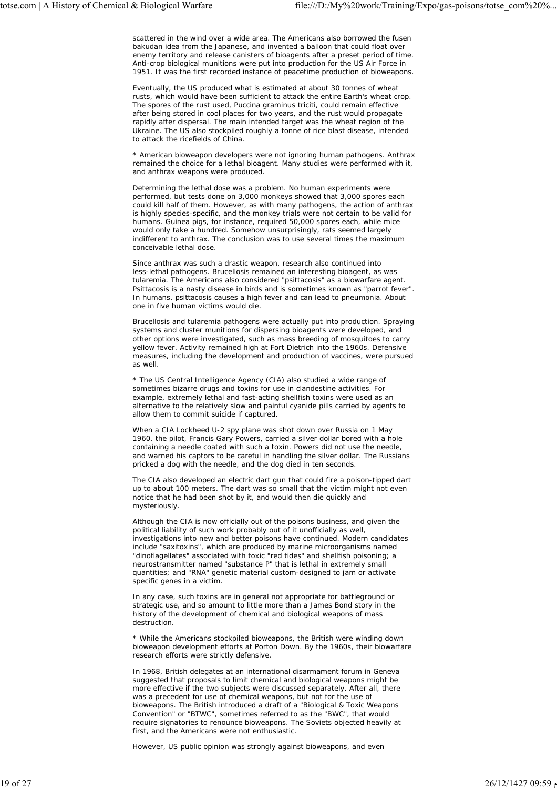scattered in the wind over a wide area. The Americans also borrowed the fusen bakudan idea from the Japanese, and invented a balloon that could float over enemy territory and release canisters of bioagents after a preset period of time. Anti-crop biological munitions were put into production for the US Air Force in 1951. It was the first recorded instance of peacetime production of bioweapons.

Eventually, the US produced what is estimated at about 30 tonnes of wheat rusts, which would have been sufficient to attack the entire Earth's wheat crop. The spores of the rust used, Puccina graminus triciti, could remain effective after being stored in cool places for two years, and the rust would propagate rapidly after dispersal. The main intended target was the wheat region of the Ukraine. The US also stockpiled roughly a tonne of rice blast disease, intended to attack the ricefields of China.

\* American bioweapon developers were not ignoring human pathogens. Anthrax remained the choice for a lethal bioagent. Many studies were performed with it, and anthrax weapons were produced.

Determining the lethal dose was a problem. No human experiments were performed, but tests done on 3,000 monkeys showed that 3,000 spores each could kill half of them. However, as with many pathogens, the action of anthrax is highly species-specific, and the monkey trials were not certain to be valid for humans. Guinea pigs, for instance, required 50,000 spores each, while mice would only take a hundred. Somehow unsurprisingly, rats seemed largely indifferent to anthrax. The conclusion was to use several times the maximum conceivable lethal dose.

Since anthrax was such a drastic weapon, research also continued into less-lethal pathogens. Brucellosis remained an interesting bioagent, as was tularemia. The Americans also considered "psittacosis" as a biowarfare agent. Psittacosis is a nasty disease in birds and is sometimes known as "parrot fever". In humans, psittacosis causes a high fever and can lead to pneumonia. About one in five human victims would die.

Brucellosis and tularemia pathogens were actually put into production. Spraying systems and cluster munitions for dispersing bioagents were developed, and other options were investigated, such as mass breeding of mosquitoes to carry yellow fever. Activity remained high at Fort Dietrich into the 1960s. Defensive measures, including the development and production of vaccines, were pursued as well.

\* The US Central Intelligence Agency (CIA) also studied a wide range of sometimes bizarre drugs and toxins for use in clandestine activities. For example, extremely lethal and fast-acting shellfish toxins were used as an alternative to the relatively slow and painful cyanide pills carried by agents to allow them to commit suicide if captured.

When a CIA Lockheed U-2 spy plane was shot down over Russia on 1 May 1960, the pilot, Francis Gary Powers, carried a silver dollar bored with a hole containing a needle coated with such a toxin. Powers did not use the needle, and warned his captors to be careful in handling the silver dollar. The Russians pricked a dog with the needle, and the dog died in ten seconds.

The CIA also developed an electric dart gun that could fire a poison-tipped dart up to about 100 meters. The dart was so small that the victim might not even notice that he had been shot by it, and would then die quickly and mysteriously.

Although the CIA is now officially out of the poisons business, and given the political liability of such work probably out of it unofficially as well, investigations into new and better poisons have continued. Modern candidates include "saxitoxins", which are produced by marine microorganisms named "dinoflagellates" associated with toxic "red tides" and shellfish poisoning; a neurostransmitter named "substance P" that is lethal in extremely small quantities; and "RNA" genetic material custom-designed to jam or activate specific genes in a victim.

In any case, such toxins are in general not appropriate for battleground or strategic use, and so amount to little more than a James Bond story in the history of the development of chemical and biological weapons of mass destruction.

\* While the Americans stockpiled bioweapons, the British were winding down bioweapon development efforts at Porton Down. By the 1960s, their biowarfare research efforts were strictly defensive.

In 1968, British delegates at an international disarmament forum in Geneva suggested that proposals to limit chemical and biological weapons might be more effective if the two subjects were discussed separately. After all, there was a precedent for use of chemical weapons, but not for the use of bioweapons. The British introduced a draft of a "Biological & Toxic Weapons Convention" or "BTWC", sometimes referred to as the "BWC", that would require signatories to renounce bioweapons. The Soviets objected heavily at first, and the Americans were not enthusiastic.

However, US public opinion was strongly against bioweapons, and even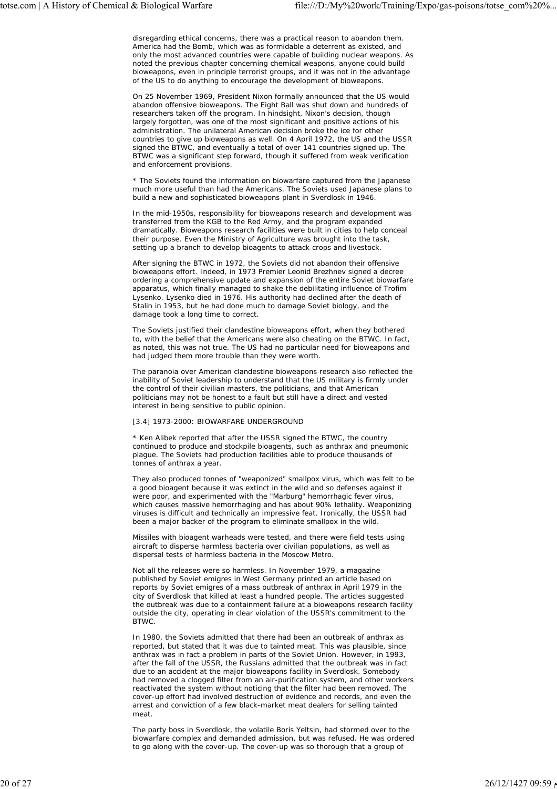disregarding ethical concerns, there was a practical reason to abandon them. America had the Bomb, which was as formidable a deterrent as existed, and only the most advanced countries were capable of building nuclear weapons. As noted the previous chapter concerning chemical weapons, anyone could build bioweapons, even in principle terrorist groups, and it was not in the advantage of the US to do anything to encourage the development of bioweapons.

On 25 November 1969, President Nixon formally announced that the US would abandon offensive bioweapons. The Eight Ball was shut down and hundreds of researchers taken off the program. In hindsight, Nixon's decision, though largely forgotten, was one of the most significant and positive actions of his administration. The unilateral American decision broke the ice for other countries to give up bioweapons as well. On 4 April 1972, the US and the USSR signed the BTWC, and eventually a total of over 141 countries signed up. The BTWC was a significant step forward, though it suffered from weak verification and enforcement provisions.

\* The Soviets found the information on biowarfare captured from the Japanese much more useful than had the Americans. The Soviets used Japanese plans to build a new and sophisticated bioweapons plant in Sverdlosk in 1946.

In the mid-1950s, responsibility for bioweapons research and development was transferred from the KGB to the Red Army, and the program expanded dramatically. Bioweapons research facilities were built in cities to help conceal their purpose. Even the Ministry of Agriculture was brought into the task, setting up a branch to develop bioagents to attack crops and livestock.

After signing the BTWC in 1972, the Soviets did not abandon their offensive bioweapons effort. Indeed, in 1973 Premier Leonid Brezhnev signed a decree ordering a comprehensive update and expansion of the entire Soviet biowarfare apparatus, which finally managed to shake the debilitating influence of Trofim Lysenko. Lysenko died in 1976. His authority had declined after the death of Stalin in 1953, but he had done much to damage Soviet biology, and the damage took a long time to correct.

The Soviets justified their clandestine bioweapons effort, when they bothered to, with the belief that the Americans were also cheating on the BTWC. In fact, as noted, this was not true. The US had no particular need for bioweapons and had judged them more trouble than they were worth.

The paranoia over American clandestine bioweapons research also reflected the inability of Soviet leadership to understand that the US military is firmly under the control of their civilian masters, the politicians, and that American politicians may not be honest to a fault but still have a direct and vested interest in being sensitive to public opinion.

#### [3.4] 1973-2000: BIOWARFARE UNDERGROUND

\* Ken Alibek reported that after the USSR signed the BTWC, the country continued to produce and stockpile bioagents, such as anthrax and pneumonic plague. The Soviets had production facilities able to produce thousands of tonnes of anthrax a year.

They also produced tonnes of "weaponized" smallpox virus, which was felt to be a good bioagent because it was extinct in the wild and so defenses against it were poor, and experimented with the "Marburg" hemorrhagic fever virus, which causes massive hemorrhaging and has about 90% lethality. Weaponizing viruses is difficult and technically an impressive feat. Ironically, the USSR had been a major backer of the program to eliminate smallpox in the wild.

Missiles with bioagent warheads were tested, and there were field tests using aircraft to disperse harmless bacteria over civilian populations, as well as dispersal tests of harmless bacteria in the Moscow Metro.

Not all the releases were so harmless. In November 1979, a magazine published by Soviet emigres in West Germany printed an article based on reports by Soviet emigres of a mass outbreak of anthrax in April 1979 in the city of Sverdlosk that killed at least a hundred people. The articles suggested the outbreak was due to a containment failure at a bioweapons research facility outside the city, operating in clear violation of the USSR's commitment to the BTWC.

In 1980, the Soviets admitted that there had been an outbreak of anthrax as reported, but stated that it was due to tainted meat. This was plausible, since anthrax was in fact a problem in parts of the Soviet Union. However, in 1993, after the fall of the USSR, the Russians admitted that the outbreak was in fact due to an accident at the major bioweapons facility in Sverdlosk. Somebody had removed a clogged filter from an air-purification system, and other workers reactivated the system without noticing that the filter had been removed. The cover-up effort had involved destruction of evidence and records, and even the arrest and conviction of a few black-market meat dealers for selling tainted meat.

The party boss in Sverdlosk, the volatile Boris Yeltsin, had stormed over to the biowarfare complex and demanded admission, but was refused. He was ordered to go along with the cover-up. The cover-up was so thorough that a group of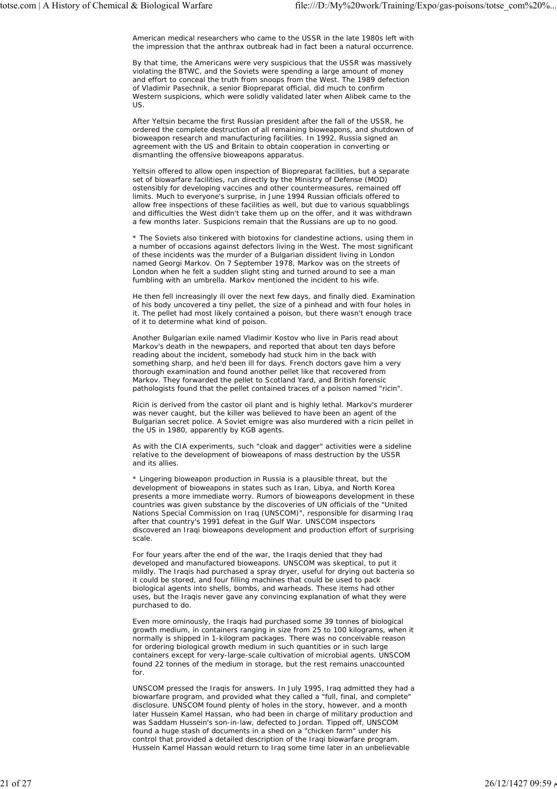American medical researchers who came to the USSR in the late 1980s left with the impression that the anthrax outbreak had in fact been a natural occurrence.

By that time, the Americans were very suspicious that the USSR was massively violating the BTWC, and the Soviets were spending a large amount of money and effort to conceal the truth from snoops from the West. The 1989 defection of Vladimir Pasechnik, a senior Biopreparat official, did much to confirm Western suspicions, which were solidly validated later when Alibek came to the US.

After Yeltsin became the first Russian president after the fall of the USSR, he ordered the complete destruction of all remaining bioweapons, and shutdown of bioweapon research and manufacturing facilities. In 1992, Russia signed an agreement with the US and Britain to obtain cooperation in converting or dismantling the offensive bioweapons apparatus.

Yeltsin offered to allow open inspection of Biopreparat facilities, but a separate set of biowarfare facilities, run directly by the Ministry of Defense (MOD) ostensibly for developing vaccines and other countermeasures, remained off limits. Much to everyone's surprise, in June 1994 Russian officials offered to allow free inspections of these facilities as well, but due to various squabblings and difficulties the West didn't take them up on the offer, and it was withdrawn a few months later. Suspicions remain that the Russians are up to no good.

\* The Soviets also tinkered with biotoxins for clandestine actions, using them in a number of occasions against defectors living in the West. The most significant of these incidents was the murder of a Bulgarian dissident living in London named Georgi Markov. On 7 September 1978, Markov was on the streets of London when he felt a sudden slight sting and turned around to see a man fumbling with an umbrella. Markov mentioned the incident to his wife.

He then fell increasingly ill over the next few days, and finally died. Examination of his body uncovered a tiny pellet, the size of a pinhead and with four holes in it. The pellet had most likely contained a poison, but there wasn't enough trace of it to determine what kind of poison.

Another Bulgarian exile named Vladimir Kostov who live in Paris read about Markov's death in the newpapers, and reported that about ten days before reading about the incident, somebody had stuck him in the back with something sharp, and he'd been ill for days. French doctors gave him a very thorough examination and found another pellet like that recovered from Markov. They forwarded the pellet to Scotland Yard, and British forensic pathologists found that the pellet contained traces of a poison named "ricin".

Ricin is derived from the castor oil plant and is highly lethal. Markov's murderer was never caught, but the killer was believed to have been an agent of the Bulgarian secret police. A Soviet emigre was also murdered with a ricin pellet in the US in 1980, apparently by KGB agents.

As with the CIA experiments, such "cloak and dagger" activities were a sideline relative to the development of bioweapons of mass destruction by the USSR and its allies.

\* Lingering bioweapon production in Russia is a plausible threat, but the development of bioweapons in states such as Iran, Libya, and North Korea presents a more immediate worry. Rumors of bioweapons development in these countries was given substance by the discoveries of UN officials of the "United Nations Special Commission on Iraq (UNSCOM)", responsible for disarming Iraq after that country's 1991 defeat in the Gulf War. UNSCOM inspectors discovered an Iraqi bioweapons development and production effort of surprising scale.

For four years after the end of the war, the Iraqis denied that they had developed and manufactured bioweapons. UNSCOM was skeptical, to put it mildly. The Iraqis had purchased a spray dryer, useful for drying out bacteria so it could be stored, and four filling machines that could be used to pack biological agents into shells, bombs, and warheads. These items had other uses, but the Iraqis never gave any convincing explanation of what they were purchased to do.

Even more ominously, the Iraqis had purchased some 39 tonnes of biological growth medium, in containers ranging in size from 25 to 100 kilograms, when it normally is shipped in 1-kilogram packages. There was no conceivable reason for ordering biological growth medium in such quantities or in such large containers except for very-large-scale cultivation of microbial agents. UNSCOM found 22 tonnes of the medium in storage, but the rest remains unaccounted for.

UNSCOM pressed the Iraqis for answers. In July 1995, Iraq admitted they had a biowarfare program, and provided what they called a "full, final, and complete" disclosure. UNSCOM found plenty of holes in the story, however, and a month later Hussein Kamel Hassan, who had been in charge of military production and was Saddam Hussein's son-in-law, defected to Jordan. Tipped off, UNSCOM found a huge stash of documents in a shed on a "chicken farm" under his control that provided a detailed description of the Iraqi biowarfare program. Hussein Kamel Hassan would return to Iraq some time later in an unbelievable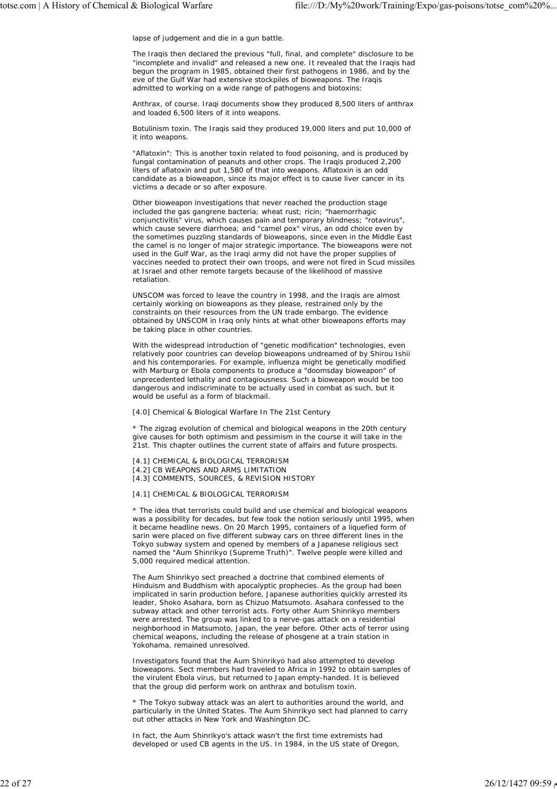lapse of judgement and die in a gun battle.

The Iraqis then declared the previous "full, final, and complete" disclosure to be "incomplete and invalid" and released a new one. It revealed that the Iraqis had begun the program in 1985, obtained their first pathogens in 1986, and by the eve of the Gulf War had extensive stockpiles of bioweapons. The Iraqis admitted to working on a wide range of pathogens and biotoxins:

Anthrax, of course. Iraqi documents show they produced 8,500 liters of anthrax and loaded 6,500 liters of it into weapons.

Botulinism toxin. The Iraqis said they produced 19,000 liters and put 10,000 of it into weapons.

"Aflatoxin": This is another toxin related to food poisoning, and is produced by fungal contamination of peanuts and other crops. The Iraqis produced 2,200 liters of aflatoxin and put 1,580 of that into weapons. Aflatoxin is an odd candidate as a bioweapon, since its major effect is to cause liver cancer in its victims a decade or so after exposure.

Other bioweapon investigations that never reached the production stage included the gas gangrene bacteria; wheat rust; ricin; "haemorrhagic conjunctivitis" virus, which causes pain and temporary blindness; "rotavirus", which cause severe diarrhoea; and "camel pox" virus, an odd choice even by the sometimes puzzling standards of bioweapons, since even in the Middle East the camel is no longer of major strategic importance. The bioweapons were not used in the Gulf War, as the Iraqi army did not have the proper supplies of vaccines needed to protect their own troops, and were not fired in Scud missiles at Israel and other remote targets because of the likelihood of massive retaliation.

UNSCOM was forced to leave the country in 1998, and the Iraqis are almost certainly working on bioweapons as they please, restrained only by the constraints on their resources from the UN trade embargo. The evidence obtained by UNSCOM in Iraq only hints at what other bioweapons efforts may be taking place in other countries.

With the widespread introduction of "genetic modification" technologies, even relatively poor countries can develop bioweapons undreamed of by Shirou Ishii and his contemporaries. For example, influenza might be genetically modified with Marburg or Ebola components to produce a "doomsday bioweapon" of unprecedented lethality and contagiousness. Such a bioweapon would be too dangerous and indiscriminate to be actually used in combat as such, but it would be useful as a form of blackmail.

[4.0] Chemical & Biological Warfare In The 21st Century

\* The zigzag evolution of chemical and biological weapons in the 20th century give causes for both optimism and pessimism in the course it will take in the 21st. This chapter outlines the current state of affairs and future prospects.

- [4.1] CHEMICAL & BIOLOGICAL TERRORISM
- [4.2] CB WEAPONS AND ARMS LIMITATION
- [4.3] COMMENTS, SOURCES, & REVISION HISTORY

[4.1] CHEMICAL & BIOLOGICAL TERRORISM

\* The idea that terrorists could build and use chemical and biological weapons was a possibility for decades, but few took the notion seriously until 1995, when it became headline news. On 20 March 1995, containers of a liquefied form of sarin were placed on five different subway cars on three different lines in the Tokyo subway system and opened by members of a Japanese religious sect named the "Aum Shinrikyo (Supreme Truth)". Twelve people were killed and 5,000 required medical attention.

The Aum Shinrikyo sect preached a doctrine that combined elements of Hinduism and Buddhism with apocalyptic prophecies. As the group had been implicated in sarin production before, Japanese authorities quickly arrested its leader, Shoko Asahara, born as Chizuo Matsumoto. Asahara confessed to the subway attack and other terrorist acts. Forty other Aum Shinrikyo members were arrested. The group was linked to a nerve-gas attack on a residential neighborhood in Matsumoto, Japan, the year before. Other acts of terror using chemical weapons, including the release of phosgene at a train station in Yokohama, remained unresolved.

Investigators found that the Aum Shinrikyo had also attempted to develop bioweapons. Sect members had traveled to Africa in 1992 to obtain samples of the virulent Ebola virus, but returned to Japan empty-handed. It is believed that the group did perform work on anthrax and botulism toxin.

\* The Tokyo subway attack was an alert to authorities around the world, and particularly in the United States. The Aum Shinrikyo sect had planned to carry out other attacks in New York and Washington DC.

In fact, the Aum Shinrikyo's attack wasn't the first time extremists had developed or used CB agents in the US. In 1984, in the US state of Oregon,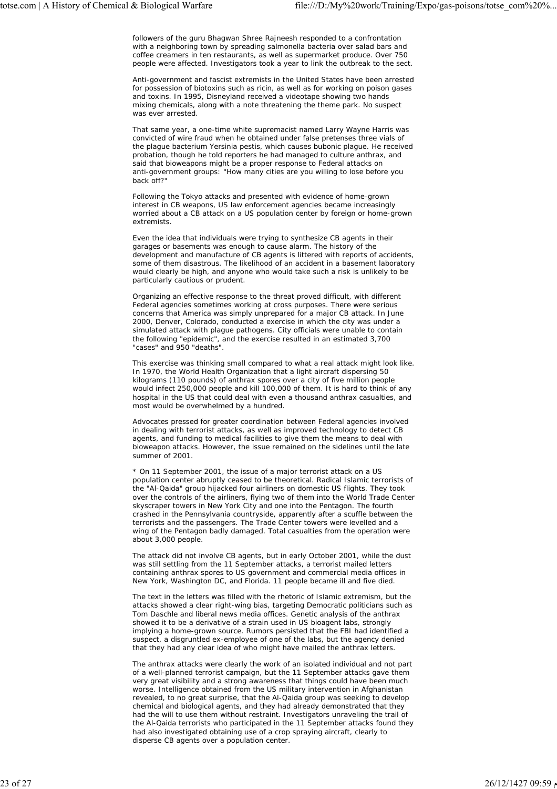followers of the guru Bhagwan Shree Rajneesh responded to a confrontation with a neighboring town by spreading salmonella bacteria over salad bars and coffee creamers in ten restaurants, as well as supermarket produce. Over 750 people were affected. Investigators took a year to link the outbreak to the sect.

Anti-government and fascist extremists in the United States have been arrested for possession of biotoxins such as ricin, as well as for working on poison gases and toxins. In 1995, Disneyland received a videotape showing two hands mixing chemicals, along with a note threatening the theme park. No suspect was ever arrested.

That same year, a one-time white supremacist named Larry Wayne Harris was convicted of wire fraud when he obtained under false pretenses three vials of the plague bacterium Yersinia pestis, which causes bubonic plague. He received probation, though he told reporters he had managed to culture anthrax, and said that bioweapons might be a proper response to Federal attacks on anti-government groups: "How many cities are you willing to lose before you back off?"

Following the Tokyo attacks and presented with evidence of home-grown interest in CB weapons, US law enforcement agencies became increasingly worried about a CB attack on a US population center by foreign or home-grown extremists.

Even the idea that individuals were trying to synthesize CB agents in their garages or basements was enough to cause alarm. The history of the development and manufacture of CB agents is littered with reports of accidents, some of them disastrous. The likelihood of an accident in a basement laboratory would clearly be high, and anyone who would take such a risk is unlikely to be particularly cautious or prudent.

Organizing an effective response to the threat proved difficult, with different Federal agencies sometimes working at cross purposes. There were serious concerns that America was simply unprepared for a major CB attack. In June 2000, Denver, Colorado, conducted a exercise in which the city was under a simulated attack with plague pathogens. City officials were unable to contain the following "epidemic", and the exercise resulted in an estimated 3,700 "cases" and 950 "deaths".

This exercise was thinking small compared to what a real attack might look like. In 1970, the World Health Organization that a light aircraft dispersing 50 kilograms (110 pounds) of anthrax spores over a city of five million people would infect 250,000 people and kill 100,000 of them. It is hard to think of any hospital in the US that could deal with even a thousand anthrax casualties, and most would be overwhelmed by a hundred.

Advocates pressed for greater coordination between Federal agencies involved in dealing with terrorist attacks, as well as improved technology to detect CB agents, and funding to medical facilities to give them the means to deal with bioweapon attacks. However, the issue remained on the sidelines until the late summer of 2001.

\* On 11 September 2001, the issue of a major terrorist attack on a US population center abruptly ceased to be theoretical. Radical Islamic terrorists of the "Al-Qaida" group hijacked four airliners on domestic US flights. They took over the controls of the airliners, flying two of them into the World Trade Center skyscraper towers in New York City and one into the Pentagon. The fourth crashed in the Pennsylvania countryside, apparently after a scuffle between the terrorists and the passengers. The Trade Center towers were levelled and a wing of the Pentagon badly damaged. Total casualties from the operation were about 3,000 people.

The attack did not involve CB agents, but in early October 2001, while the dust was still settling from the 11 September attacks, a terrorist mailed letters containing anthrax spores to US government and commercial media offices in New York, Washington DC, and Florida. 11 people became ill and five died.

The text in the letters was filled with the rhetoric of Islamic extremism, but the attacks showed a clear right-wing bias, targeting Democratic politicians such as Tom Daschle and liberal news media offices. Genetic analysis of the anthrax showed it to be a derivative of a strain used in US bioagent labs, strongly implying a home-grown source. Rumors persisted that the FBI had identified a suspect, a disgruntled ex-employee of one of the labs, but the agency denied that they had any clear idea of who might have mailed the anthrax letters.

The anthrax attacks were clearly the work of an isolated individual and not part of a well-planned terrorist campaign, but the 11 September attacks gave them very great visibility and a strong awareness that things could have been much worse. Intelligence obtained from the US military intervention in Afghanistan revealed, to no great surprise, that the Al-Qaida group was seeking to develop chemical and biological agents, and they had already demonstrated that they had the will to use them without restraint. Investigators unraveling the trail of the Al-Qaida terrorists who participated in the 11 September attacks found they had also investigated obtaining use of a crop spraying aircraft, clearly to disperse CB agents over a population center.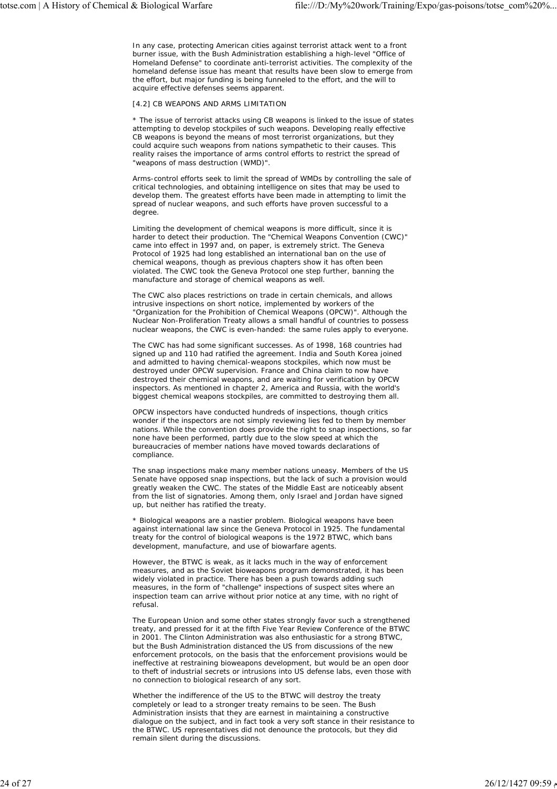In any case, protecting American cities against terrorist attack went to a front burner issue, with the Bush Administration establishing a high-level "Office of Homeland Defense" to coordinate anti-terrorist activities. The complexity of the homeland defense issue has meant that results have been slow to emerge from the effort, but major funding is being funneled to the effort, and the will to acquire effective defenses seems apparent.

#### [4.2] CB WEAPONS AND ARMS LIMITATION

\* The issue of terrorist attacks using CB weapons is linked to the issue of states attempting to develop stockpiles of such weapons. Developing really effective CB weapons is beyond the means of most terrorist organizations, but they could acquire such weapons from nations sympathetic to their causes. This reality raises the importance of arms control efforts to restrict the spread of "weapons of mass destruction (WMD)".

Arms-control efforts seek to limit the spread of WMDs by controlling the sale of critical technologies, and obtaining intelligence on sites that may be used to develop them. The greatest efforts have been made in attempting to limit the spread of nuclear weapons, and such efforts have proven successful to a degree.

Limiting the development of chemical weapons is more difficult, since it is harder to detect their production. The "Chemical Weapons Convention (CWC)" came into effect in 1997 and, on paper, is extremely strict. The Geneva Protocol of 1925 had long established an international ban on the use of chemical weapons, though as previous chapters show it has often been violated. The CWC took the Geneva Protocol one step further, banning the manufacture and storage of chemical weapons as well.

The CWC also places restrictions on trade in certain chemicals, and allows intrusive inspections on short notice, implemented by workers of the "Organization for the Prohibition of Chemical Weapons (OPCW)". Although the Nuclear Non-Proliferation Treaty allows a small handful of countries to possess nuclear weapons, the CWC is even-handed: the same rules apply to everyone.

The CWC has had some significant successes. As of 1998, 168 countries had signed up and 110 had ratified the agreement. India and South Korea joined and admitted to having chemical-weapons stockpiles, which now must be destroyed under OPCW supervision. France and China claim to now have destroyed their chemical weapons, and are waiting for verification by OPCW inspectors. As mentioned in chapter 2, America and Russia, with the world's biggest chemical weapons stockpiles, are committed to destroying them all.

OPCW inspectors have conducted hundreds of inspections, though critics wonder if the inspectors are not simply reviewing lies fed to them by member nations. While the convention does provide the right to snap inspections, so far none have been performed, partly due to the slow speed at which the bureaucracies of member nations have moved towards declarations of compliance.

The snap inspections make many member nations uneasy. Members of the US Senate have opposed snap inspections, but the lack of such a provision would greatly weaken the CWC. The states of the Middle East are noticeably absent from the list of signatories. Among them, only Israel and Jordan have signed up, but neither has ratified the treaty.

\* Biological weapons are a nastier problem. Biological weapons have been against international law since the Geneva Protocol in 1925. The fundamental treaty for the control of biological weapons is the 1972 BTWC, which bans development, manufacture, and use of biowarfare agents.

However, the BTWC is weak, as it lacks much in the way of enforcement measures, and as the Soviet bioweapons program demonstrated, it has been widely violated in practice. There has been a push towards adding such measures, in the form of "challenge" inspections of suspect sites where an inspection team can arrive without prior notice at any time, with no right of refusal.

The European Union and some other states strongly favor such a strengthened treaty, and pressed for it at the fifth Five Year Review Conference of the BTWC in 2001. The Clinton Administration was also enthusiastic for a strong BTWC, but the Bush Administration distanced the US from discussions of the new enforcement protocols, on the basis that the enforcement provisions would be ineffective at restraining bioweapons development, but would be an open door to theft of industrial secrets or intrusions into US defense labs, even those with no connection to biological research of any sort.

Whether the indifference of the US to the BTWC will destroy the treaty completely or lead to a stronger treaty remains to be seen. The Bush Administration insists that they are earnest in maintaining a constructive dialogue on the subject, and in fact took a very soft stance in their resistance to the BTWC. US representatives did not denounce the protocols, but they did remain silent during the discussions.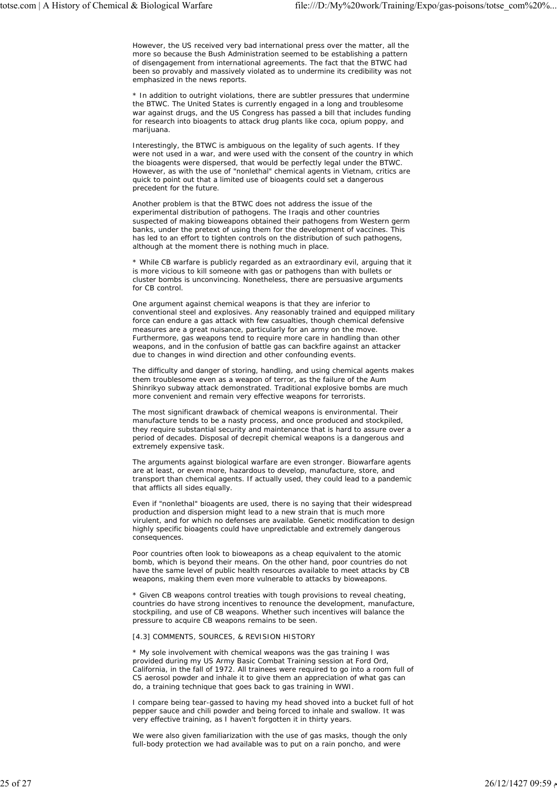However, the US received very bad international press over the matter, all the more so because the Bush Administration seemed to be establishing a pattern of disengagement from international agreements. The fact that the BTWC had been so provably and massively violated as to undermine its credibility was not emphasized in the news reports.

\* In addition to outright violations, there are subtler pressures that undermine the BTWC. The United States is currently engaged in a long and troublesome war against drugs, and the US Congress has passed a bill that includes funding for research into bioagents to attack drug plants like coca, opium poppy, and marijuana.

Interestingly, the BTWC is ambiguous on the legality of such agents. If they were not used in a war, and were used with the consent of the country in which the bioagents were dispersed, that would be perfectly legal under the BTWC. However, as with the use of "nonlethal" chemical agents in Vietnam, critics are quick to point out that a limited use of bioagents could set a dangerous precedent for the future.

Another problem is that the BTWC does not address the issue of the experimental distribution of pathogens. The Iraqis and other countries suspected of making bioweapons obtained their pathogens from Western germ banks, under the pretext of using them for the development of vaccines. This has led to an effort to tighten controls on the distribution of such pathogens, although at the moment there is nothing much in place.

\* While CB warfare is publicly regarded as an extraordinary evil, arguing that it is more vicious to kill someone with gas or pathogens than with bullets or cluster bombs is unconvincing. Nonetheless, there are persuasive arguments for CB control.

One argument against chemical weapons is that they are inferior to conventional steel and explosives. Any reasonably trained and equipped military force can endure a gas attack with few casualties, though chemical defensive measures are a great nuisance, particularly for an army on the move. Furthermore, gas weapons tend to require more care in handling than other weapons, and in the confusion of battle gas can backfire against an attacker due to changes in wind direction and other confounding events.

The difficulty and danger of storing, handling, and using chemical agents makes them troublesome even as a weapon of terror, as the failure of the Aum Shinrikyo subway attack demonstrated. Traditional explosive bombs are much more convenient and remain very effective weapons for terrorists.

The most significant drawback of chemical weapons is environmental. Their manufacture tends to be a nasty process, and once produced and stockpiled, they require substantial security and maintenance that is hard to assure over a period of decades. Disposal of decrepit chemical weapons is a dangerous and extremely expensive task.

The arguments against biological warfare are even stronger. Biowarfare agents are at least, or even more, hazardous to develop, manufacture, store, and transport than chemical agents. If actually used, they could lead to a pandemic that afflicts all sides equally.

Even if "nonlethal" bioagents are used, there is no saying that their widespread production and dispersion might lead to a new strain that is much more virulent, and for which no defenses are available. Genetic modification to design highly specific bioagents could have unpredictable and extremely dangerous consequences.

Poor countries often look to bioweapons as a cheap equivalent to the atomic bomb, which is beyond their means. On the other hand, poor countries do not have the same level of public health resources available to meet attacks by CB weapons, making them even more vulnerable to attacks by bioweapons.

\* Given CB weapons control treaties with tough provisions to reveal cheating, countries do have strong incentives to renounce the development, manufacture, stockpiling, and use of CB weapons. Whether such incentives will balance the pressure to acquire CB weapons remains to be seen.

## [4.3] COMMENTS, SOURCES, & REVISION HISTORY

\* My sole involvement with chemical weapons was the gas training I was provided during my US Army Basic Combat Training session at Ford Ord, California, in the fall of 1972. All trainees were required to go into a room full of CS aerosol powder and inhale it to give them an appreciation of what gas can do, a training technique that goes back to gas training in WWI.

I compare being tear-gassed to having my head shoved into a bucket full of hot pepper sauce and chili powder and being forced to inhale and swallow. It was very effective training, as I haven't forgotten it in thirty years.

We were also given familiarization with the use of gas masks, though the only full-body protection we had available was to put on a rain poncho, and were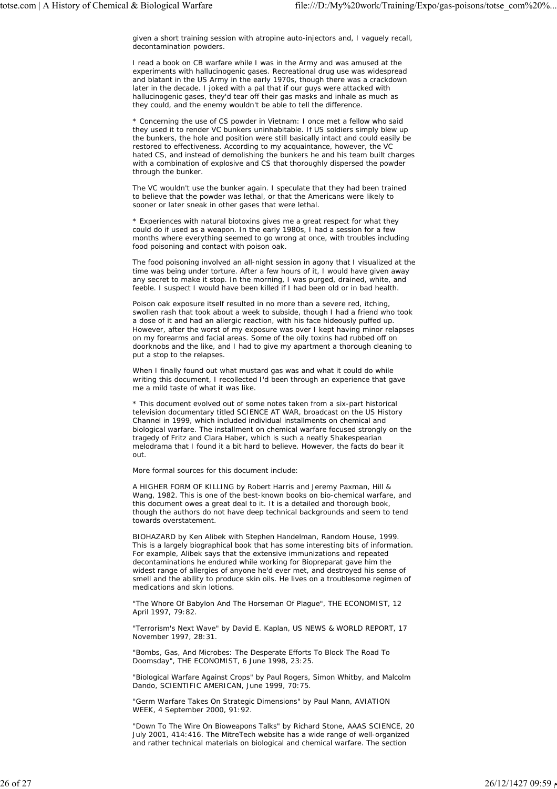given a short training session with atropine auto-injectors and, I vaguely recall, decontamination powders.

I read a book on CB warfare while I was in the Army and was amused at the experiments with hallucinogenic gases. Recreational drug use was widespread and blatant in the US Army in the early 1970s, though there was a crackdown later in the decade. I joked with a pal that if our guys were attacked with hallucinogenic gases, they'd tear off their gas masks and inhale as much as they could, and the enemy wouldn't be able to tell the difference.

\* Concerning the use of CS powder in Vietnam: I once met a fellow who said they used it to render VC bunkers uninhabitable. If US soldiers simply blew up the bunkers, the hole and position were still basically intact and could easily be restored to effectiveness. According to my acquaintance, however, the VC hated CS, and instead of demolishing the bunkers he and his team built charges with a combination of explosive and CS that thoroughly dispersed the powder through the bunker.

The VC wouldn't use the bunker again. I speculate that they had been trained to believe that the powder was lethal, or that the Americans were likely to sooner or later sneak in other gases that were lethal.

\* Experiences with natural biotoxins gives me a great respect for what they could do if used as a weapon. In the early 1980s, I had a session for a few months where everything seemed to go wrong at once, with troubles including food poisoning and contact with poison oak.

The food poisoning involved an all-night session in agony that I visualized at the time was being under torture. After a few hours of it, I would have given away any secret to make it stop. In the morning, I was purged, drained, white, and feeble. I suspect I would have been killed if I had been old or in bad health.

Poison oak exposure itself resulted in no more than a severe red, itching, swollen rash that took about a week to subside, though I had a friend who took a dose of it and had an allergic reaction, with his face hideously puffed up. However, after the worst of my exposure was over I kept having minor relapses on my forearms and facial areas. Some of the oily toxins had rubbed off on doorknobs and the like, and I had to give my apartment a thorough cleaning to put a stop to the relapses.

When I finally found out what mustard gas was and what it could do while writing this document, I recollected I'd been through an experience that gave me a mild taste of what it was like.

\* This document evolved out of some notes taken from a six-part historical television documentary titled SCIENCE AT WAR, broadcast on the US History Channel in 1999, which included individual installments on chemical and biological warfare. The installment on chemical warfare focused strongly on the tragedy of Fritz and Clara Haber, which is such a neatly Shakespearian melodrama that I found it a bit hard to believe. However, the facts do bear it out.

More formal sources for this document include:

A HIGHER FORM OF KILLING by Robert Harris and Jeremy Paxman, Hill & Wang, 1982. This is one of the best-known books on bio-chemical warfare, and this document owes a great deal to it. It is a detailed and thorough book, though the authors do not have deep technical backgrounds and seem to tend towards overstatement.

BIOHAZARD by Ken Alibek with Stephen Handelman, Random House, 1999. This is a largely biographical book that has some interesting bits of information. For example, Alibek says that the extensive immunizations and repeated decontaminations he endured while working for Biopreparat gave him the widest range of allergies of anyone he'd ever met, and destroyed his sense of smell and the ability to produce skin oils. He lives on a troublesome regimen of medications and skin lotions.

"The Whore Of Babylon And The Horseman Of Plague", THE ECONOMIST, 12 April 1997, 79:82.

"Terrorism's Next Wave" by David E. Kaplan, US NEWS & WORLD REPORT, 17 November 1997, 28:31.

"Bombs, Gas, And Microbes: The Desperate Efforts To Block The Road To Doomsday", THE ECONOMIST, 6 June 1998, 23:25.

"Biological Warfare Against Crops" by Paul Rogers, Simon Whitby, and Malcolm Dando, SCIENTIFIC AMERICAN, June 1999, 70:75.

"Germ Warfare Takes On Strategic Dimensions" by Paul Mann, AVIATION WEEK, 4 September 2000, 91:92.

"Down To The Wire On Bioweapons Talks" by Richard Stone, AAAS SCIENCE, 20 July 2001, 414:416. The MitreTech website has a wide range of well-organized and rather technical materials on biological and chemical warfare. The section